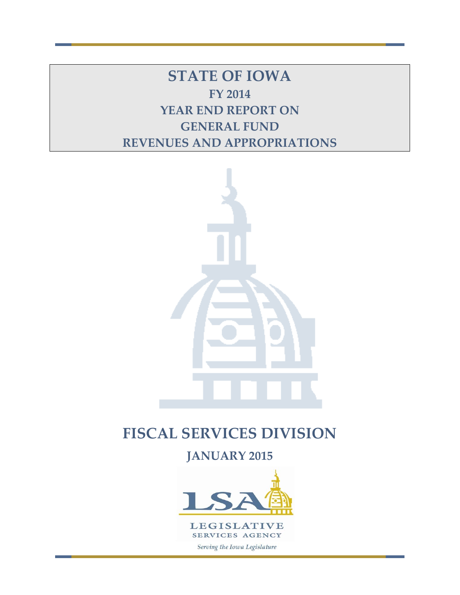**STATE OF IOWA FY 2014 YEAR END REPORT ON GENERAL FUND REVENUES AND APPROPRIATIONS**



# **FISCAL SERVICES DIVISION**

**JANUARY 2015**

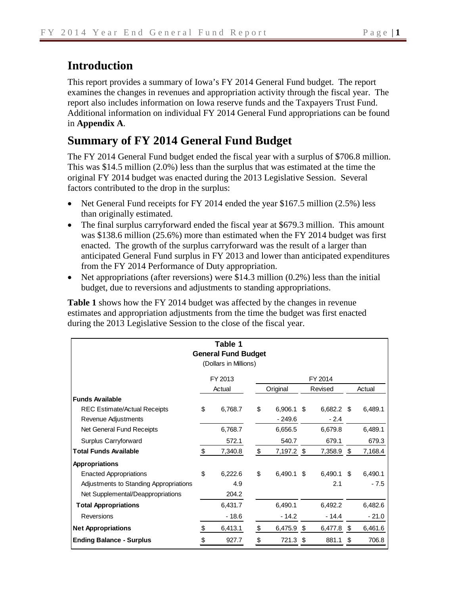# **Introduction**

This report provides a summary of Iowa's FY 2014 General Fund budget. The report examines the changes in revenues and appropriation activity through the fiscal year. The report also includes information on Iowa reserve funds and the Taxpayers Trust Fund. Additional information on individual FY 2014 General Fund appropriations can be found in **Appendix A**.

# **Summary of FY 2014 General Fund Budget**

The FY 2014 General Fund budget ended the fiscal year with a surplus of \$706.8 million. This was \$14.5 million (2.0%) less than the surplus that was estimated at the time the original FY 2014 budget was enacted during the 2013 Legislative Session. Several factors contributed to the drop in the surplus:

- Net General Fund receipts for FY 2014 ended the year \$167.5 million (2.5%) less than originally estimated.
- The final surplus carryforward ended the fiscal year at \$679.3 million. This amount was \$138.6 million (25.6%) more than estimated when the FY 2014 budget was first enacted. The growth of the surplus carryforward was the result of a larger than anticipated General Fund surplus in FY 2013 and lower than anticipated expenditures from the FY 2014 Performance of Duty appropriation.
- Net appropriations (after reversions) were \$14.3 million  $(0.2\%)$  less than the initial budget, due to reversions and adjustments to standing appropriations.

**Table 1** shows how the FY 2014 budget was affected by the changes in revenue estimates and appropriation adjustments from the time the budget was first enacted during the 2013 Legislative Session to the close of the fiscal year.

|                                        |                    | Table 1<br><b>General Fund Budget</b><br>(Dollars in Millions) |    |              |         |            |        |         |
|----------------------------------------|--------------------|----------------------------------------------------------------|----|--------------|---------|------------|--------|---------|
|                                        |                    | FY 2013                                                        |    |              |         | FY 2014    |        |         |
|                                        | Original<br>Actual |                                                                |    |              | Revised |            | Actual |         |
| <b>Funds Available</b>                 |                    |                                                                |    |              |         |            |        |         |
| <b>REC Estimate/Actual Receipts</b>    | \$                 | 6,768.7                                                        | \$ | $6,906.1$ \$ |         | 6,682.2 \$ |        | 6,489.1 |
| Revenue Adjustments                    |                    |                                                                |    | $-249.6$     |         | $-2.4$     |        |         |
| Net General Fund Receipts              |                    | 6,768.7                                                        |    | 6,656.5      |         | 6,679.8    |        | 6,489.1 |
| Surplus Carryforward                   |                    | 572.1                                                          |    | 540.7        |         | 679.1      |        | 679.3   |
| <b>Total Funds Available</b>           | \$                 | 7,340.8                                                        | \$ | 7,197.2 \$   |         | 7,358.9 \$ |        | 7,168.4 |
| <b>Appropriations</b>                  |                    |                                                                |    |              |         |            |        |         |
| <b>Enacted Appropriations</b>          | \$                 | 6,222.6                                                        | \$ | 6,490.1      | \$      | 6,490.1    | - \$   | 6,490.1 |
| Adjustments to Standing Appropriations |                    | 4.9                                                            |    |              |         | 2.1        |        | $-7.5$  |
| Net Supplemental/Deappropriations      |                    | 204.2                                                          |    |              |         |            |        |         |
| <b>Total Appropriations</b>            |                    | 6,431.7                                                        |    | 6,490.1      |         | 6,492.2    |        | 6,482.6 |
| Reversions                             |                    | - 18.6                                                         |    | $-14.2$      |         | $-14.4$    |        | $-21.0$ |
| <b>Net Appropriations</b>              | \$                 | 6,413.1                                                        | \$ | 6,475.9      | \$      | 6,477.8    | \$     | 6,461.6 |
| <b>Ending Balance - Surplus</b>        |                    | 927.7                                                          | \$ | 721.3        | S       | 881.1      | \$     | 706.8   |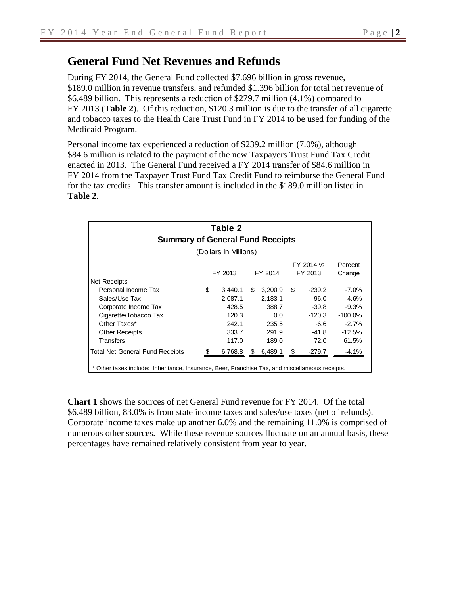# **General Fund Net Revenues and Refunds**

During FY 2014, the General Fund collected \$7.696 billion in gross revenue, \$189.0 million in revenue transfers, and refunded \$1.396 billion for total net revenue of \$6.489 billion. This represents a reduction of \$279.7 million (4.1%) compared to FY 2013 (**Table 2**). Of this reduction, \$120.3 million is due to the transfer of all cigarette and tobacco taxes to the Health Care Trust Fund in FY 2014 to be used for funding of the Medicaid Program.

Personal income tax experienced a reduction of \$239.2 million (7.0%), although \$84.6 million is related to the payment of the new Taxpayers Trust Fund Tax Credit enacted in 2013. The General Fund received a FY 2014 transfer of \$84.6 million in FY 2014 from the Taxpayer Trust Fund Tax Credit Fund to reimburse the General Fund for the tax credits. This transfer amount is included in the \$189.0 million listed in **Table 2**.

| <b>Summary of General Fund Receipts</b>                                                       | Table 2               |     |                    |                        |                   |
|-----------------------------------------------------------------------------------------------|-----------------------|-----|--------------------|------------------------|-------------------|
|                                                                                               | (Dollars in Millions) |     |                    |                        |                   |
|                                                                                               | FY 2013               |     | FY 2014            | FY 2014 vs.<br>FY 2013 | Percent<br>Change |
| Net Receipts<br>Personal Income Tax                                                           | \$                    | S   |                    | \$<br>$-239.2$         | $-7.0\%$          |
| Sales/Use Tax                                                                                 | 3,440.1<br>2,087.1    |     | 3,200.9<br>2,183.1 | 96.0                   | 4.6%              |
| Corporate Income Tax                                                                          | 428.5                 |     | 388.7              | $-39.8$                | $-9.3%$           |
| Cigarette/Tobacco Tax                                                                         | 120.3                 |     | 0.0                | $-120.3$               | $-100.0\%$        |
| Other Taxes*                                                                                  | 242.1                 |     | 235.5              | -6.6                   | $-2.7%$           |
| <b>Other Receipts</b>                                                                         | 333.7                 |     | 291.9              | $-41.8$                | $-12.5%$          |
| Transfers                                                                                     | 117.0                 |     | 189.0              | 72.0                   | 61.5%             |
| <b>Total Net General Fund Receipts</b>                                                        | 6,768.8               | \$. | 6,489.1            | \$<br>$-279.7$         | $-4.1%$           |
| Other taxes include: Inheritance, Insurance, Beer, Franchise Tax, and miscellaneous receipts. |                       |     |                    |                        |                   |

**Chart 1** shows the sources of net General Fund revenue for FY 2014. Of the total \$6.489 billion, 83.0% is from state income taxes and sales/use taxes (net of refunds). Corporate income taxes make up another 6.0% and the remaining 11.0% is comprised of numerous other sources. While these revenue sources fluctuate on an annual basis, these percentages have remained relatively consistent from year to year.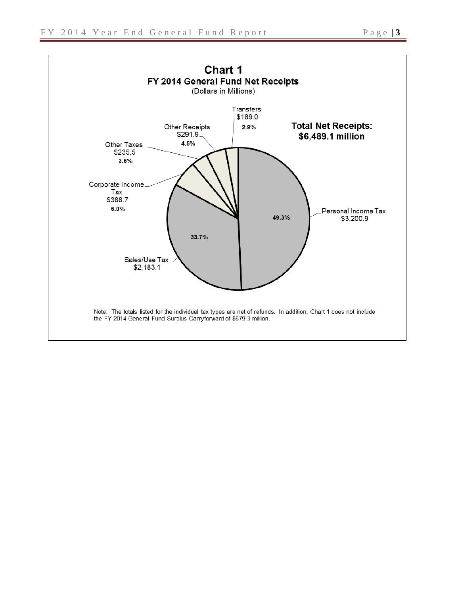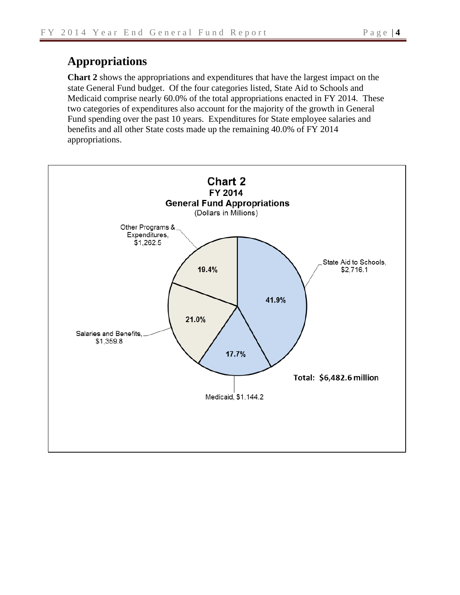# **Appropriations**

**Chart 2** shows the appropriations and expenditures that have the largest impact on the state General Fund budget. Of the four categories listed, State Aid to Schools and Medicaid comprise nearly 60.0% of the total appropriations enacted in FY 2014. These two categories of expenditures also account for the majority of the growth in General Fund spending over the past 10 years. Expenditures for State employee salaries and benefits and all other State costs made up the remaining 40.0% of FY 2014 appropriations.

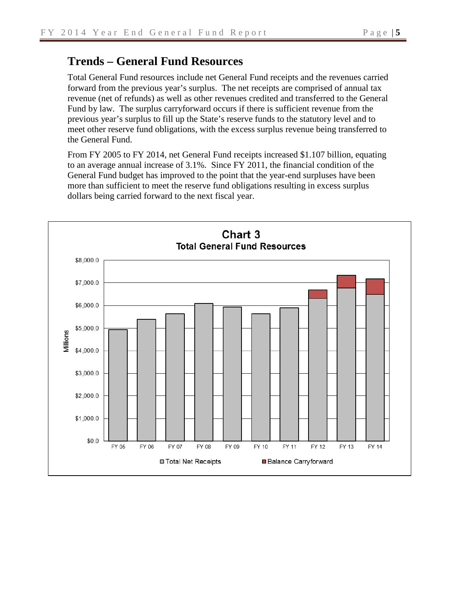# **Trends – General Fund Resources**

Total General Fund resources include net General Fund receipts and the revenues carried forward from the previous year's surplus. The net receipts are comprised of annual tax revenue (net of refunds) as well as other revenues credited and transferred to the General Fund by law. The surplus carryforward occurs if there is sufficient revenue from the previous year's surplus to fill up the State's reserve funds to the statutory level and to meet other reserve fund obligations, with the excess surplus revenue being transferred to the General Fund.

From FY 2005 to FY 2014, net General Fund receipts increased \$1.107 billion, equating to an average annual increase of 3.1%. Since FY 2011, the financial condition of the General Fund budget has improved to the point that the year-end surpluses have been more than sufficient to meet the reserve fund obligations resulting in excess surplus dollars being carried forward to the next fiscal year.

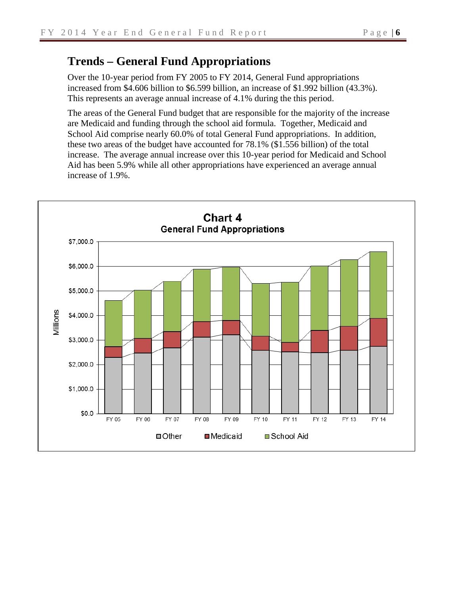# **Trends – General Fund Appropriations**

Over the 10-year period from FY 2005 to FY 2014, General Fund appropriations increased from \$4.606 billion to \$6.599 billion, an increase of \$1.992 billion (43.3%). This represents an average annual increase of 4.1% during the this period.

The areas of the General Fund budget that are responsible for the majority of the increase are Medicaid and funding through the school aid formula. Together, Medicaid and School Aid comprise nearly 60.0% of total General Fund appropriations. In addition, these two areas of the budget have accounted for 78.1% (\$1.556 billion) of the total increase. The average annual increase over this 10-year period for Medicaid and School Aid has been 5.9% while all other appropriations have experienced an average annual increase of 1.9%.

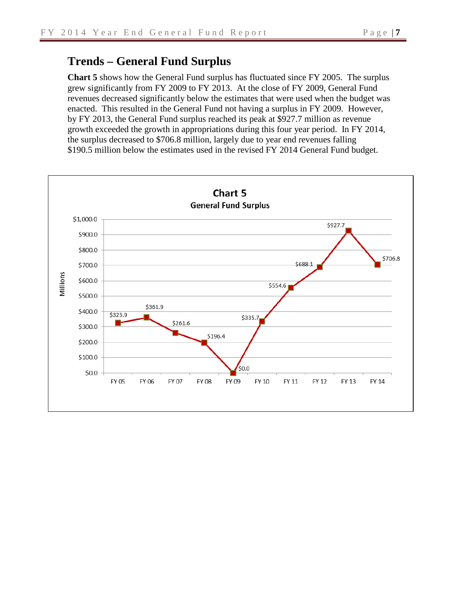# **Trends – General Fund Surplus**

**Chart 5** shows how the General Fund surplus has fluctuated since FY 2005. The surplus grew significantly from FY 2009 to FY 2013. At the close of FY 2009, General Fund revenues decreased significantly below the estimates that were used when the budget was enacted. This resulted in the General Fund not having a surplus in FY 2009. However, by FY 2013, the General Fund surplus reached its peak at \$927.7 million as revenue growth exceeded the growth in appropriations during this four year period. In FY 2014, the surplus decreased to \$706.8 million, largely due to year end revenues falling \$190.5 million below the estimates used in the revised FY 2014 General Fund budget.

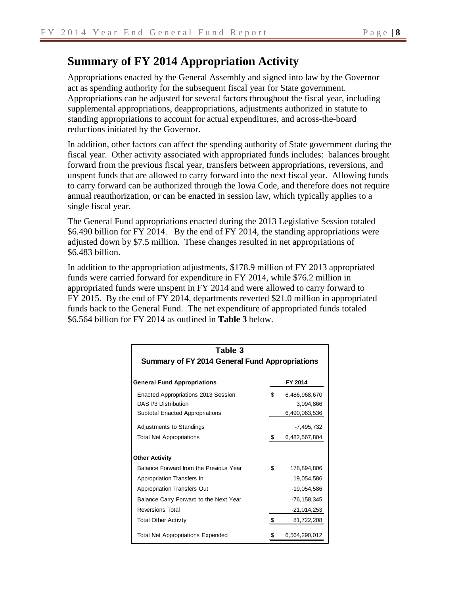# **Summary of FY 2014 Appropriation Activity**

Appropriations enacted by the General Assembly and signed into law by the Governor act as spending authority for the subsequent fiscal year for State government. Appropriations can be adjusted for several factors throughout the fiscal year, including supplemental appropriations, deappropriations, adjustments authorized in statute to standing appropriations to account for actual expenditures, and across-the-board reductions initiated by the Governor.

In addition, other factors can affect the spending authority of State government during the fiscal year. Other activity associated with appropriated funds includes: balances brought forward from the previous fiscal year, transfers between appropriations, reversions, and unspent funds that are allowed to carry forward into the next fiscal year. Allowing funds to carry forward can be authorized through the Iowa Code, and therefore does not require annual reauthorization, or can be enacted in session law, which typically applies to a single fiscal year.

The General Fund appropriations enacted during the 2013 Legislative Session totaled \$6.490 billion for FY 2014. By the end of FY 2014, the standing appropriations were adjusted down by \$7.5 million. These changes resulted in net appropriations of \$6.483 billion.

In addition to the appropriation adjustments, \$178.9 million of FY 2013 appropriated funds were carried forward for expenditure in FY 2014, while \$76.2 million in appropriated funds were unspent in FY 2014 and were allowed to carry forward to FY 2015. By the end of FY 2014, departments reverted \$21.0 million in appropriated funds back to the General Fund. The net expenditure of appropriated funds totaled \$6.564 billion for FY 2014 as outlined in **Table 3** below.

| Table 3                                               |    |                 |
|-------------------------------------------------------|----|-----------------|
| <b>Summary of FY 2014 General Fund Appropriations</b> |    |                 |
| <b>General Fund Appropriations</b>                    |    | FY 2014         |
| Enacted Appropriations 2013 Session                   | \$ | 6,486,968,670   |
| DAS 1/3 Distribution                                  |    | 3,094,866       |
| <b>Subtotal Enacted Appropriations</b>                |    | 6,490,063,536   |
| Adjustments to Standings                              |    | -7,495,732      |
| <b>Total Net Appropriations</b>                       | \$ | 6,482,567,804   |
| <b>Other Activity</b>                                 |    |                 |
| Balance Forward from the Previous Year                | \$ | 178,894,806     |
| Appropriation Transfers In                            |    | 19,054,586      |
| Appropriation Transfers Out                           |    | -19,054,586     |
| Balance Carry Forward to the Next Year                |    | $-76, 158, 345$ |
| <b>Reversions Total</b>                               |    | -21,014,253     |
| <b>Total Other Activity</b>                           | \$ | 81,722,208      |
| <b>Total Net Appropriations Expended</b>              | S  | 6,564,290,012   |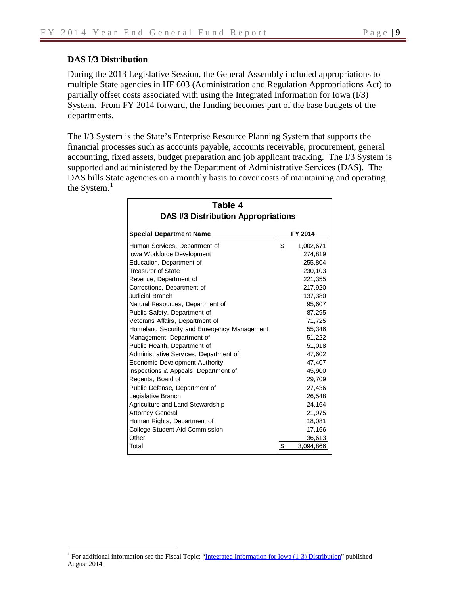## **DAS I/3 Distribution**

During the 2013 Legislative Session, the General Assembly included appropriations to multiple State agencies in HF 603 (Administration and Regulation Appropriations Act) to partially offset costs associated with using the Integrated Information for Iowa (I/3) System. From FY 2014 forward, the funding becomes part of the base budgets of the departments.

The I/3 System is the State's Enterprise Resource Planning System that supports the financial processes such as accounts payable, accounts receivable, procurement, general accounting, fixed assets, budget preparation and job applicant tracking. The I/3 System is supported and administered by the Department of Administrative Services (DAS). The DAS bills State agencies on a monthly basis to cover costs of maintaining and operating the System.<sup>[1](#page-9-0)</sup>

| Table 4                                    |                 |
|--------------------------------------------|-----------------|
| <b>DAS I/3 Distribution Appropriations</b> |                 |
| <b>Special Department Name</b>             | FY 2014         |
| Human Services, Department of              | \$<br>1,002,671 |
| lowa Workforce Development                 | 274,819         |
| Education, Department of                   | 255,804         |
| <b>Treasurer of State</b>                  | 230,103         |
| Revenue, Department of                     | 221,355         |
| Corrections, Department of                 | 217,920         |
| <b>Judicial Branch</b>                     | 137,380         |
| Natural Resources, Department of           | 95,607          |
| Public Safety, Department of               | 87,295          |
| Veterans Affairs, Department of            | 71,725          |
| Homeland Security and Emergency Management | 55,346          |
| Management, Department of                  | 51,222          |
| Public Health, Department of               | 51,018          |
| Administrative Services, Department of     | 47,602          |
| Economic Development Authority             | 47,407          |
| Inspections & Appeals, Department of       | 45,900          |
| Regents, Board of                          | 29,709          |
| Public Defense, Department of              | 27,436          |
| Legislative Branch                         | 26,548          |
| Agriculture and Land Stewardship           | 24,164          |
| <b>Attorney General</b>                    | 21,975          |
| Human Rights, Department of                | 18,081          |
| College Student Aid Commission             | 17,166          |
| Other                                      | 36,613          |
| Total                                      | \$<br>3,094,866 |

<span id="page-9-0"></span><sup>&</sup>lt;sup>1</sup> For additional information see the Fiscal Topic; "Integrated Information for Iowa  $(1-3)$  Distribution" published August 2014.  $\overline{a}$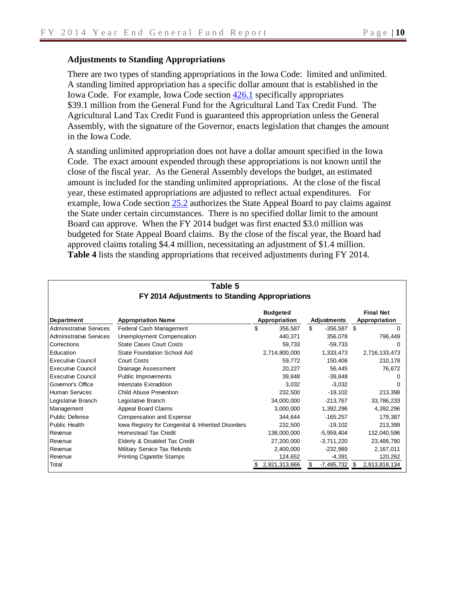#### **Adjustments to Standing Appropriations**

Г

There are two types of standing appropriations in the Iowa Code: limited and unlimited. A standing limited appropriation has a specific dollar amount that is established in the Iowa Code. For example, Iowa Code section [426.1](https://www.legis.iowa.gov/docs/ico/section/2013/426.1.pdf) specifically appropriates \$39.1 million from the General Fund for the Agricultural Land Tax Credit Fund. The Agricultural Land Tax Credit Fund is guaranteed this appropriation unless the General Assembly, with the signature of the Governor, enacts legislation that changes the amount in the Iowa Code.

A standing unlimited appropriation does not have a dollar amount specified in the Iowa Code. The exact amount expended through these appropriations is not known until the close of the fiscal year. As the General Assembly develops the budget, an estimated amount is included for the standing unlimited appropriations. At the close of the fiscal year, these estimated appropriations are adjusted to reflect actual expenditures. For example, Iowa Code section [25.2](https://www.legis.iowa.gov/docs/ico/section/2013/25.2.pdf) authorizes the State Appeal Board to pay claims against the State under certain circumstances. There is no specified dollar limit to the amount Board can approve. When the FY 2014 budget was first enacted \$3.0 million was budgeted for State Appeal Board claims. By the close of the fiscal year, the Board had approved claims totaling \$4.4 million, necessitating an adjustment of \$1.4 million. **Table 4** lists the standing appropriations that received adjustments during FY 2014.

|                                | able 5                                             |                 |     |              |                  |
|--------------------------------|----------------------------------------------------|-----------------|-----|--------------|------------------|
|                                | FY 2014 Adjustments to Standing Appropriations     |                 |     |              |                  |
|                                |                                                    | <b>Budgeted</b> |     |              | <b>Final Net</b> |
| <b>Department</b>              | <b>Appropriation Name</b>                          | Appropriation   |     | Adjustments  | Appropriation    |
| <b>Administrative Services</b> | Federal Cash Management                            | \$<br>356,587   | \$. | $-356,587$   | \$               |
| <b>Administrative Services</b> | Unemployment Compensation                          | 440,371         |     | 356,078      | 796,449          |
| Corrections                    | <b>State Cases Court Costs</b>                     | 59,733          |     | $-59,733$    | $^{(1)}$         |
| Education                      | <b>State Foundation School Aid</b>                 | 2,714,800,000   |     | 1,333,473    | 2,716,133,473    |
| <b>Executive Council</b>       | Court Costs                                        | 59,772          |     | 150,406      | 210,178          |
| <b>Executive Council</b>       | Drainage Assessment                                | 20,227          |     | 56,445       | 76,672           |
| <b>Executive Council</b>       | Public Improvements                                | 39,848          |     | $-39,848$    |                  |
| Governor's Office              | Interstate Extradition                             | 3,032           |     | $-3,032$     |                  |
| <b>Human Services</b>          | <b>Child Abuse Prevention</b>                      | 232,500         |     | $-19,102$    | 213,398          |
| Legislative Branch             | Legislative Branch                                 | 34,000,000      |     | $-213,767$   | 33,786,233       |
| Management                     | Appeal Board Claims                                | 3,000,000       |     | 1,392,296    | 4,392,296        |
| Public Defense                 | Compensation and Expense                           | 344,644         |     | $-165,257$   | 179,387          |
| <b>Public Health</b>           | lowa Registry for Congenital & Inherited Disorders | 232,500         |     | $-19,102$    | 213,399          |
| Revenue                        | <b>Homestead Tax Credit</b>                        | 138,000,000     |     | $-5,959,404$ | 132,040,596      |
| Revenue                        | Elderly & Disabled Tax Credit                      | 27,200,000      |     | $-3,711,220$ | 23,488,780       |
| Revenue                        | Military Service Tax Refunds                       | 2,400,000       |     | $-232,989$   | 2,167,011        |
| Revenue                        | <b>Printing Cigarette Stamps</b>                   | 124,652         |     | $-4,391$     | 120,262          |
| Total                          |                                                    | 2,921,313,866   |     | -7,495,732   | 2,913,818,134    |

# **Table 5**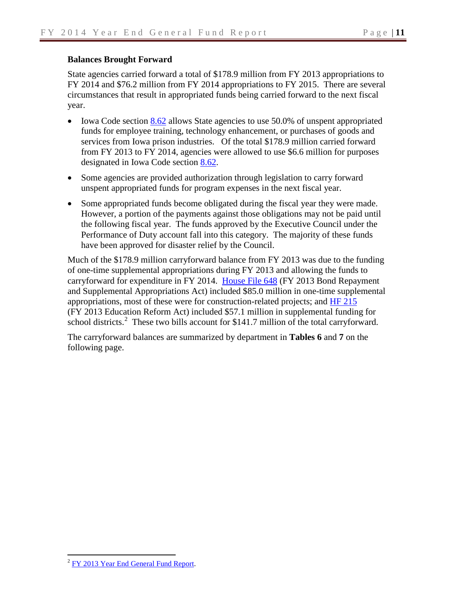#### **Balances Brought Forward**

State agencies carried forward a total of \$178.9 million from FY 2013 appropriations to FY 2014 and \$76.2 million from FY 2014 appropriations to FY 2015. There are several circumstances that result in appropriated funds being carried forward to the next fiscal year.

- Iowa Code section [8.62](https://www.legis.iowa.gov/DOCS/ACO/IC/LINC/Section.8.62.pdf) allows State agencies to use 50.0% of unspent appropriated funds for employee training, technology enhancement, or purchases of goods and services from Iowa prison industries. Of the total \$178.9 million carried forward from FY 2013 to FY 2014, agencies were allowed to use \$6.6 million for purposes designated in Iowa Code section [8.62.](https://www.legis.iowa.gov/docs/ico/section/2013/8.62.pdf)
- Some agencies are provided authorization through legislation to carry forward unspent appropriated funds for program expenses in the next fiscal year.
- Some appropriated funds become obligated during the fiscal year they were made. However, a portion of the payments against those obligations may not be paid until the following fiscal year. The funds approved by the Executive Council under the Performance of Duty account fall into this category. The majority of these funds have been approved for disaster relief by the Council.

Much of the \$178.9 million carryforward balance from FY 2013 was due to the funding of one-time supplemental appropriations during FY 2013 and allowing the funds to carryforward for expenditure in FY 2014. [House File 648](http://coolice.legis.iowa.gov/Cool-ICE/default.asp?Category=billinfo&Service=Billbook&menu=false&hbill=HF648) (FY 2013 Bond Repayment and Supplemental Appropriations Act) included \$85.0 million in one-time supplemental appropriations, most of these were for construction-related projects; and [HF 215](http://coolice.legis.iowa.gov/Cool-ICE/default.asp?Category=billinfo&Service=Billbook&menu=false&ga=85&hbill=HF215) (FY 2013 Education Reform Act) included \$57.1 million in supplemental funding for school districts.<sup>[2](#page-11-0)</sup> These two bills account for \$141.7 million of the total carryforward.

The carryforward balances are summarized by department in **Tables 6** and **7** on the following page.

<span id="page-11-0"></span><sup>&</sup>lt;sup>2</sup> [FY 2013 Year End General Fund Report.](https://www.legis.iowa.gov/docs/publications/GFRA/402732.pdf)  $\overline{a}$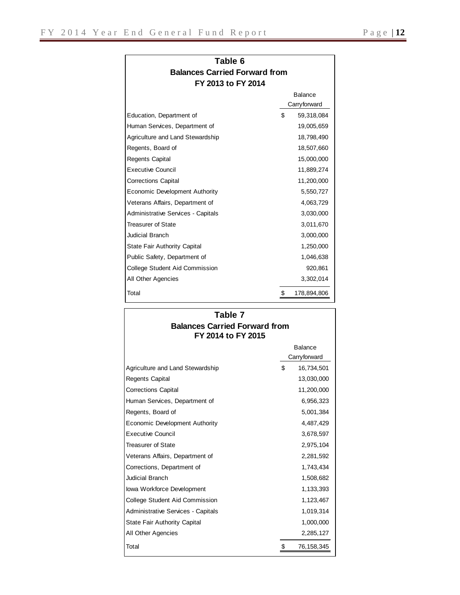| Table 6                              |
|--------------------------------------|
| <b>Balances Carried Forward from</b> |
| FY 2013 to FY 2014                   |

|                                     |    | <b>Balance</b> |
|-------------------------------------|----|----------------|
|                                     |    | Carryforward   |
| Education, Department of            | \$ | 59,318,084     |
| Human Services, Department of       |    | 19,005,659     |
| Agriculture and Land Stewardship    |    | 18,798,490     |
| Regents, Board of                   |    | 18,507,660     |
| <b>Regents Capital</b>              |    | 15,000,000     |
| <b>Executive Council</b>            |    | 11,889,274     |
| <b>Corrections Capital</b>          |    | 11,200,000     |
| Economic Development Authority      |    | 5,550,727      |
| Veterans Affairs, Department of     |    | 4,063,729      |
| Administrative Services - Capitals  |    | 3,030,000      |
| <b>Treasurer of State</b>           |    | 3,011,670      |
| <b>Judicial Branch</b>              |    | 3,000,000      |
| <b>State Fair Authority Capital</b> |    | 1,250,000      |
| Public Safety, Department of        |    | 1,046,638      |
| College Student Aid Commission      |    | 920,861        |
| All Other Agencies                  |    | 3,302,014      |
| Total                               | S  | 178,894,806    |

#### **Balances Carried Forward from FY 2014 to FY 2015 Table 7**

|                                           | <b>Balance</b><br>Carryforward |
|-------------------------------------------|--------------------------------|
| Agriculture and Land Stewardship          | \$<br>16,734,501               |
| Regents Capital                           | 13,030,000                     |
| <b>Corrections Capital</b>                | 11,200,000                     |
| Human Services, Department of             | 6,956,323                      |
| Regents, Board of                         | 5,001,384                      |
| Economic Development Authority            | 4,487,429                      |
| <b>Executive Council</b>                  | 3,678,597                      |
| <b>Treasurer of State</b>                 | 2,975,104                      |
| Veterans Affairs, Department of           | 2,281,592                      |
| Corrections, Department of                | 1,743,434                      |
| Judicial Branch                           | 1,508,682                      |
| lowa Workforce Development                | 1,133,393                      |
| College Student Aid Commission            | 1,123,467                      |
| <b>Administrative Services - Capitals</b> | 1,019,314                      |
| <b>State Fair Authority Capital</b>       | 1,000,000                      |
| All Other Agencies                        | 2,285,127                      |
| Total                                     | \$<br>76, 158, 345             |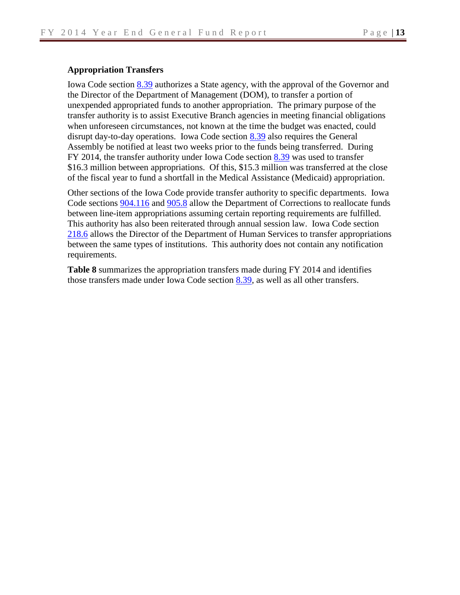#### **Appropriation Transfers**

Iowa Code section [8.39](https://www.legis.iowa.gov/DOCS/ACO/IC/LINC/Section.8.39.pdf) authorizes a State agency, with the approval of the Governor and the Director of the Department of Management (DOM), to transfer a portion of unexpended appropriated funds to another appropriation. The primary purpose of the transfer authority is to assist Executive Branch agencies in meeting financial obligations when unforeseen circumstances, not known at the time the budget was enacted, could disrupt day-to-day operations. Iowa Code section [8.39](https://www.legis.iowa.gov/docs/ico/section/2013/8.39.pdf) also requires the General Assembly be notified at least two weeks prior to the funds being transferred. During FY 2014, the transfer authority under Iowa Code section  $8.39$  was used to transfer \$16.3 million between appropriations. Of this, \$15.3 million was transferred at the close of the fiscal year to fund a shortfall in the Medical Assistance (Medicaid) appropriation.

Other sections of the Iowa Code provide transfer authority to specific departments. Iowa Code sections [904.116](https://www.legis.iowa.gov/docs/ico/section/2013/904.I.116.pdf) and [905.8](https://www.legis.iowa.gov/docs/ico/section/2013/905.8.pdf) allow the Department of Corrections to reallocate funds between line-item appropriations assuming certain reporting requirements are fulfilled. This authority has also been reiterated through annual session law. Iowa Code section [218.6](https://www.legis.iowa.gov/docs/ico/section/2013/218.6.pdf) allows the Director of the Department of Human Services to transfer appropriations between the same types of institutions. This authority does not contain any notification requirements.

**Table 8** summarizes the appropriation transfers made during FY 2014 and identifies those transfers made under Iowa Code section [8.39,](https://www.legis.iowa.gov/DOCS/ACO/IC/LINC/Section.8.39.pdf) as well as all other transfers.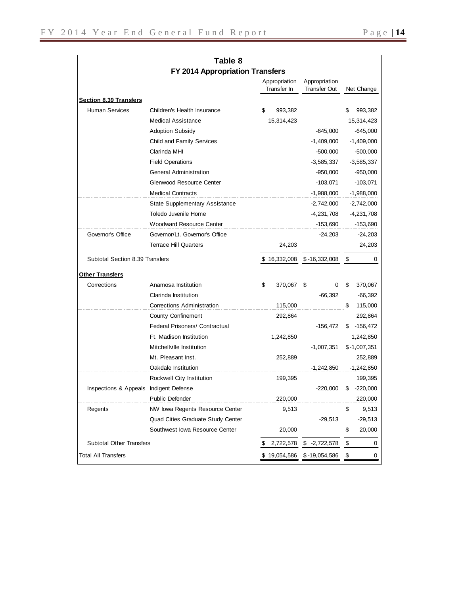|                                        | Table 8                               |                              |                               |     |               |
|----------------------------------------|---------------------------------------|------------------------------|-------------------------------|-----|---------------|
|                                        | FY 2014 Appropriation Transfers       |                              |                               |     |               |
|                                        |                                       | Appropriation<br>Transfer In | Appropriation<br>Transfer Out |     | Net Change    |
| <b>Section 8.39 Transfers</b>          |                                       |                              |                               |     |               |
| <b>Human Services</b>                  | Children's Health Insurance           | \$<br>993,382                |                               | \$  | 993,382       |
|                                        | <b>Medical Assistance</b>             | 15,314,423                   |                               |     | 15,314,423    |
|                                        | <b>Adoption Subsidy</b>               |                              | $-645,000$                    |     | $-645,000$    |
|                                        | Child and Family Services             |                              | -1,409,000                    |     | $-1,409,000$  |
|                                        | Clarinda MHI                          |                              | $-500,000$                    |     | -500,000      |
|                                        | <b>Field Operations</b>               |                              | $-3,585,337$                  |     | $-3,585,337$  |
|                                        | <b>General Administration</b>         |                              | $-950,000$                    |     | $-950,000$    |
|                                        | Glenwood Resource Center              |                              | $-103,071$                    |     | $-103,071$    |
|                                        | <b>Medical Contracts</b>              |                              | $-1,988,000$                  |     | $-1,988,000$  |
|                                        | <b>State Supplementary Assistance</b> |                              | $-2,742,000$                  |     | $-2,742,000$  |
|                                        | Toledo Juvenile Home                  |                              | -4,231,708                    |     | $-4,231,708$  |
|                                        | <b>Woodward Resource Center</b>       |                              | -153,690                      |     | $-153,690$    |
| Governor's Office                      | Governor/Lt. Governor's Office        |                              | $-24,203$                     |     | $-24,203$     |
|                                        | <b>Terrace Hill Quarters</b>          | 24,203                       |                               |     | 24,203        |
| Subtotal Section 8.39 Transfers        |                                       | \$16,332,008                 | \$-16,332,008                 | -\$ | 0             |
| <u>Other Transfers</u>                 |                                       |                              |                               |     |               |
| Corrections                            | Anamosa Institution                   | \$<br>370,067                | \$<br>0                       | \$  | 370,067       |
|                                        | Clarinda Institution                  |                              | $-66,392$                     |     | $-66,392$     |
|                                        | <b>Corrections Administration</b>     | 115,000                      |                               | \$  | 115,000       |
|                                        | <b>County Confinement</b>             | 292,864                      |                               |     | 292,864       |
|                                        | Federal Prisoners/ Contractual        |                              | -156,472                      | \$  | $-156,472$    |
|                                        | Ft. Madison Institution               | 1,242,850                    |                               |     | 1,242,850     |
|                                        | Mitchellville Institution             |                              | -1,007,351                    |     | $$-1,007,351$ |
|                                        | Mt. Pleasant Inst.                    | 252,889                      |                               |     | 252,889       |
|                                        | Oakdale Institution                   |                              | $-1,242,850$                  |     | $-1,242,850$  |
|                                        | Rockwell City Institution             | 199,395                      |                               |     | 199,395       |
| Inspections & Appeals Indigent Defense |                                       |                              | $-220,000$                    | \$  | $-220,000$    |
|                                        | Public Defender                       | 220,000                      |                               |     | 220,000       |
| Regents                                | NW Iowa Regents Resource Center       | 9,513                        |                               | \$  | 9,513         |
|                                        | Quad Cities Graduate Study Center     |                              | $-29,513$                     |     | $-29,513$     |
|                                        | Southwest Iowa Resource Center        | 20,000                       |                               | \$  | 20,000        |
| <b>Subtotal Other Transfers</b>        |                                       | \$<br>2,722,578              | $$ -2,722,578$                | \$  | 0             |
| <b>Total All Transfers</b>             |                                       | \$19,054,586                 | $$ -19,054,586$               | \$  | 0             |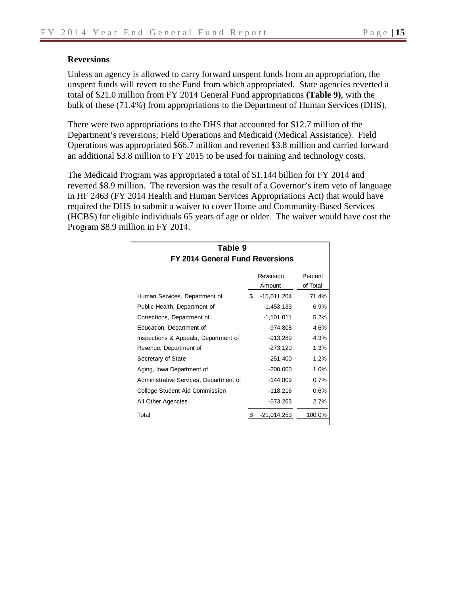#### **Reversions**

Unless an agency is allowed to carry forward unspent funds from an appropriation, the unspent funds will revert to the Fund from which appropriated. State agencies reverted a total of \$21.0 million from FY 2014 General Fund appropriations **(Table 9)**, with the bulk of these (71.4%) from appropriations to the Department of Human Services (DHS).

There were two appropriations to the DHS that accounted for \$12.7 million of the Department's reversions; Field Operations and Medicaid (Medical Assistance). Field Operations was appropriated \$66.7 million and reverted \$3.8 million and carried forward an additional \$3.8 million to FY 2015 to be used for training and technology costs.

The Medicaid Program was appropriated a total of \$1.144 billion for FY 2014 and reverted \$8.9 million. The reversion was the result of a Governor's item veto of language in HF 2463 (FY 2014 Health and Human Services Appropriations Act) that would have required the DHS to submit a waiver to cover Home and Community-Based Services (HCBS) for eligible individuals 65 years of age or older. The waiver would have cost the Program \$8.9 million in FY 2014.

| Table 9                                |                     |                     |
|----------------------------------------|---------------------|---------------------|
| FY 2014 General Fund Reversions        |                     |                     |
|                                        | Reversion<br>Amount | Percent<br>of Total |
| Human Services, Department of          | \$<br>$-15,011,204$ | 71.4%               |
| Public Health, Department of           | $-1,453,133$        | 6.9%                |
| Corrections, Department of             | $-1,101,011$        | 5.2%                |
| Education, Department of               | -974,808            | 4.6%                |
| Inspections & Appeals, Department of   | $-913,289$          | 4.3%                |
| Revenue, Department of                 | $-273,120$          | 1.3%                |
| Secretary of State                     | $-251,400$          | 1.2%                |
| Aging, Iowa Department of              | $-200,000$          | 1.0%                |
| Administrative Services, Department of | -144,809            | 0.7%                |
| College Student Aid Commission         | $-118,216$          | 0.6%                |
| All Other Agencies                     | $-573,263$          | 2.7%                |
| Total                                  | $-21,014,253$       | 100.0%              |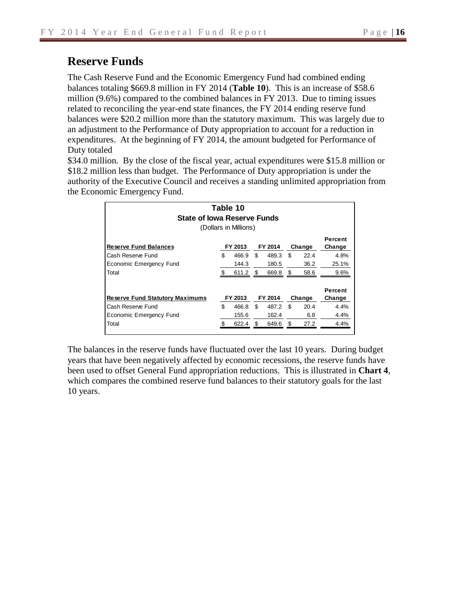# **Reserve Funds**

The Cash Reserve Fund and the Economic Emergency Fund had combined ending balances totaling \$669.8 million in FY 2014 (**Table 10**). This is an increase of \$58.6 million (9.6%) compared to the combined balances in FY 2013. Due to timing issues related to reconciling the year-end state finances, the FY 2014 ending reserve fund balances were \$20.2 million more than the statutory maximum. This was largely due to an adjustment to the Performance of Duty appropriation to account for a reduction in expenditures. At the beginning of FY 2014, the amount budgeted for Performance of Duty totaled

\$34.0 million. By the close of the fiscal year, actual expenditures were \$15.8 million or \$18.2 million less than budget. The Performance of Duty appropriation is under the authority of the Executive Council and receives a standing unlimited appropriation from the Economic Emergency Fund.

| <b>State of Iowa Reserve Funds</b>     |     | Table 10<br>(Dollars in Millions) |     |         |      |        |                   |
|----------------------------------------|-----|-----------------------------------|-----|---------|------|--------|-------------------|
| <b>Reserve Fund Balances</b>           |     | FY 2013                           |     | FY 2014 |      | Change | Percent<br>Change |
| Cash Reserve Fund                      | \$  | 466.9                             | \$  | 489.3   | \$   | 22.4   | 4.8%              |
| Economic Emergency Fund                |     | 144.3                             |     | 180.5   |      | 36.2   | 25.1%             |
| Total                                  |     | 611.2                             | \$. | 669.8   | \$   | 58.6   | 9.6%              |
| <b>Reserve Fund Statutory Maximums</b> |     | FY 2013                           |     | FY 2014 |      | Change | Percent<br>Change |
| Cash Reserve Fund                      | \$  | 466.8                             | \$  | 487.2   | \$   | 20.4   | 4.4%              |
| Economic Emergency Fund                |     | 155.6                             |     | 162.4   |      | 6.8    | 4.4%              |
| Total                                  | \$. | 622.4                             | £.  | 649.6   | - \$ | 27.2   | 4.4%              |

The balances in the reserve funds have fluctuated over the last 10 years. During budget years that have been negatively affected by economic recessions, the reserve funds have been used to offset General Fund appropriation reductions. This is illustrated in **Chart 4**, which compares the combined reserve fund balances to their statutory goals for the last 10 years.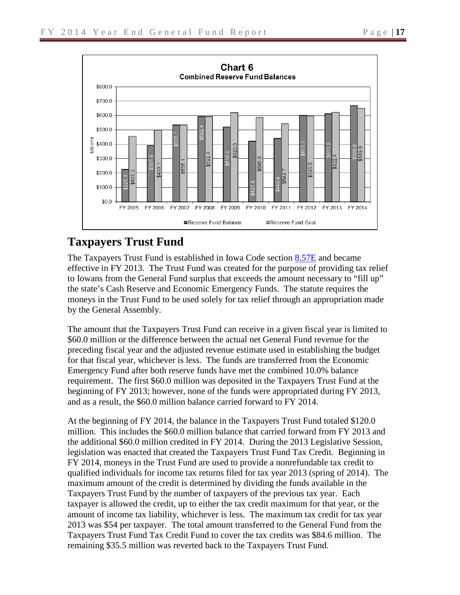

# **Taxpayers Trust Fund**

The Taxpayers Trust Fund is established in Iowa Code section [8.57E](https://www.legis.iowa.gov/docs/ico/section/2013/8.57E.pdf) and became effective in FY 2013. The Trust Fund was created for the purpose of providing tax relief to Iowans from the General Fund surplus that exceeds the amount necessary to "fill up" the state's Cash Reserve and Economic Emergency Funds. The statute requires the moneys in the Trust Fund to be used solely for tax relief through an appropriation made by the General Assembly.

The amount that the Taxpayers Trust Fund can receive in a given fiscal year is limited to \$60.0 million or the difference between the actual net General Fund revenue for the preceding fiscal year and the adjusted revenue estimate used in establishing the budget for that fiscal year, whichever is less. The funds are transferred from the Economic Emergency Fund after both reserve funds have met the combined 10.0% balance requirement. The first \$60.0 million was deposited in the Taxpayers Trust Fund at the beginning of FY 2013; however, none of the funds were appropriated during FY 2013, and as a result, the \$60.0 million balance carried forward to FY 2014.

At the beginning of FY 2014, the balance in the Taxpayers Trust Fund totaled \$120.0 million. This includes the \$60.0 million balance that carried forward from FY 2013 and the additional \$60.0 million credited in FY 2014. During the 2013 Legislative Session, legislation was enacted that created the Taxpayers Trust Fund Tax Credit. Beginning in FY 2014, moneys in the Trust Fund are used to provide a nonrefundable tax credit to qualified individuals for income tax returns filed for tax year 2013 (spring of 2014). The maximum amount of the credit is determined by dividing the funds available in the Taxpayers Trust Fund by the number of taxpayers of the previous tax year. Each taxpayer is allowed the credit, up to either the tax credit maximum for that year, or the amount of income tax liability, whichever is less. The maximum tax credit for tax year 2013 was \$54 per taxpayer. The total amount transferred to the General Fund from the Taxpayers Trust Fund Tax Credit Fund to cover the tax credits was \$84.6 million. The remaining \$35.5 million was reverted back to the Taxpayers Trust Fund.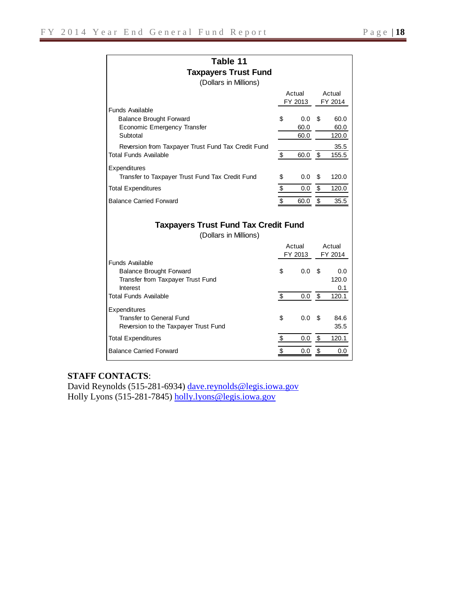| Table 11                                                                                                  |               |                         |               |                       |
|-----------------------------------------------------------------------------------------------------------|---------------|-------------------------|---------------|-----------------------|
| <b>Taxpayers Trust Fund</b>                                                                               |               |                         |               |                       |
| (Dollars in Millions)                                                                                     |               |                         |               |                       |
|                                                                                                           |               | Actual<br>FY 2013       |               | Actual<br>FY 2014     |
| <b>Funds Available</b><br><b>Balance Brought Forward</b><br>Economic Emergency Transfer<br>Subtotal       | \$            | $0.0 -$<br>60.0<br>60.0 | \$.           | 60.0<br>60.0<br>120.0 |
| Reversion from Taxpayer Trust Fund Tax Credit Fund<br><b>Total Funds Available</b>                        | \$            | 60.0                    | \$            | 35.5<br>155.5         |
| Expenditures<br>Transfer to Taxpayer Trust Fund Tax Credit Fund                                           | \$            | 0.0                     | \$            | 120.0                 |
| <b>Total Expenditures</b>                                                                                 | $\frac{1}{2}$ | $0.0\,$                 | $\frac{1}{2}$ | 120.0                 |
| <b>Balance Carried Forward</b>                                                                            | \$            | 60.0                    | \$            | 35.5                  |
|                                                                                                           |               |                         |               |                       |
| <b>Taxpayers Trust Fund Tax Credit Fund</b><br>(Dollars in Millions)                                      |               |                         |               |                       |
|                                                                                                           |               | Actual                  |               | Actual                |
|                                                                                                           |               | FY 2013                 |               | FY 2014               |
| <b>Funds Available</b><br><b>Balance Brought Forward</b><br>Transfer from Taxpayer Trust Fund<br>Interest | \$            | 0.0                     | - \$          | 0.0<br>120.0<br>0.1   |
| <b>Total Funds Available</b>                                                                              | \$            | $0.0\,$ \$              |               | 120.1                 |
| <b>Expenditures</b><br><b>Transfer to General Fund</b><br>Reversion to the Taxpayer Trust Fund            | \$            | 0.0                     | \$            | 84.6<br>35.5          |
| <b>Total Expenditures</b>                                                                                 | $\frac{1}{2}$ | $0.0\,$ \$              |               | 120.1                 |

#### **STAFF CONTACTS**:

David Reynolds (515-281-6934) [dave.reynolds@legis.iowa.gov](mailto:dave.reynolds@legis.iowa.gov) Holly Lyons (515-281-7845) [holly.lyons@legis.iowa.gov](mailto:holly.lyons@legis.iowa.gov)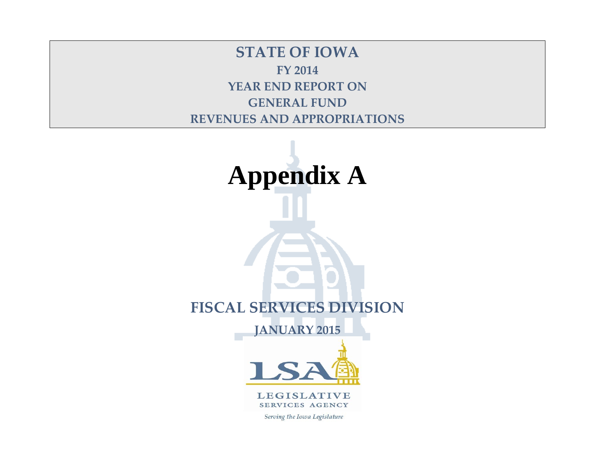**STATE OF IOWA FY 2014 YEAR END REPORT ON GENERAL FUND REVENUES AND APPROPRIATIONS**



**LEGISLATIVE** SERVICES AGENCY

Serving the Iowa Legislature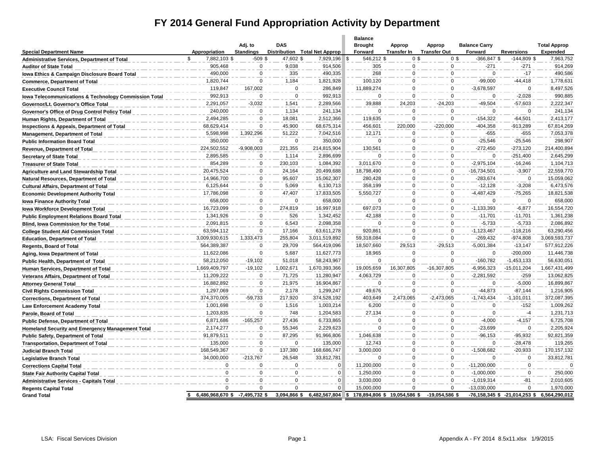# **FY 2014 General Fund Appropriation Activity by Department**

|                                                                  |                                |                             |                       |                               | <b>Balance</b>            |                              |                               |                                 |                                   |                                        |
|------------------------------------------------------------------|--------------------------------|-----------------------------|-----------------------|-------------------------------|---------------------------|------------------------------|-------------------------------|---------------------------------|-----------------------------------|----------------------------------------|
| <b>Special Department Name</b>                                   | Appropriation                  | Adj. to<br><b>Standings</b> | <b>DAS</b>            | Distribution Total Net Approp | <b>Brought</b><br>Forward | Approp<br><b>Transfer In</b> | Approp<br><b>Transfer Out</b> | <b>Balance Carry</b><br>Forward | <b>Reversions</b>                 | <b>Total Approp</b><br><b>Expended</b> |
| Administrative Services, Department of Total                     | 7,882,103 \$                   | $-509$ \$                   | 47,602 \$             | 7,929,196                     | 546,212 \$<br>ا \$        | 0 <sup>5</sup>               | 0 <sup>3</sup>                | -366,847 \$                     | $-144,809$ \$                     | 7,963,752                              |
| <b>Auditor of State Total</b>                                    | 905,468                        | $\mathsf 0$                 | 9,038                 | 914,506                       | 305                       | 0                            | $\mathbf 0$                   | $-271$                          | $-271$                            | 914,269                                |
| lowa Ethics & Campaign Disclosure Board Total                    | 490,000                        | 0                           | 335                   | 490,335                       | 268                       | $\Omega$                     | $\mathbf 0$                   | $\mathbf 0$                     | $-17$                             | 490,586                                |
| <b>Commerce, Department of Total</b>                             | 1,820,744                      | $\mathbf 0$                 | 1,184                 | 1,821,928                     | 100,120                   | $\Omega$                     | $\mathbf 0$                   | $-99,000$                       | $-44,418$                         | 1,778,631                              |
| <b>Executive Council Total</b>                                   | 119,847                        | 167.002                     | $\mathbf 0$           | 286,849                       | 11,889,274                | $\Omega$                     | $\Omega$                      | $-3,678,597$                    | $\Omega$                          | 8,497,526                              |
| <b>Iowa Telecommunications &amp; Technology Commission Total</b> | 992,913                        | $\Omega$                    | $\Omega$              | 992,913                       | $\Omega$                  | $\Omega$                     | $\Omega$                      | $\Omega$                        | $-2,028$                          | 990,885                                |
| Governor/Lt. Governor's Office Total                             | 2,291,057                      | $-3,032$                    | 1,541                 | 2,289,566                     | 39,888                    | 24,203                       | $-24,203$                     | $-49,504$                       | $-57,603$                         | 2,222,347                              |
| Governor's Office of Drug Control Policy Total                   | 240,000                        | $\Omega$                    | 1,134                 | 241,134                       | $\Omega$                  | $\Omega$                     | $\Omega$                      | $\Omega$                        | $\Omega$                          | 241,134                                |
| Human Rights, Department of Total                                | 2,494,285                      | 0                           | 18,081                | 2,512,366                     | 119,635                   | $\Omega$                     | $\Omega$                      | $-154,322$                      | $-64,501$                         | 2,413,177                              |
| Inspections & Appeals, Department of Total                       | 68,629,414                     | $\mathbf 0$                 | 45,900                | 68,675,314                    | 456,601                   | 220,000                      | $-220,000$                    | $-404,358$                      | $-913,289$                        | 67,814,269                             |
| Management, Department of Total                                  | 5,598,998                      | 1,392,296                   | 51,222                | 7,042,516                     | 12,171                    | $\Omega$                     | $\mathbf 0$                   | $-655$                          | $-655$                            | 7,053,378                              |
| <b>Public Information Board Total</b>                            | 350,000                        | $\Omega$                    | $\Omega$              | 350,000                       | $\Omega$                  | $\Omega$                     | $\mathbf 0$                   | $-25,546$                       | $-25,546$                         | 298,907                                |
| Revenue, Department of Total                                     | 224,502,552                    | $-9,908,003$                | 221,355               | 214,815,904                   | 130,561                   | $\mathbf 0$                  | $\mathbf 0$                   | $-272,450$                      | $-273,120$                        | 214,400,894                            |
| <b>Secretary of State Total</b>                                  | 2,895,585                      | 0                           | 1,114                 | 2,896,699                     | $\Omega$                  | $\mathbf 0$                  | $\mathbf 0$                   | $\mathbf 0$                     | $-251,400$                        | 2,645,299                              |
| <b>Treasurer of State Total</b>                                  | 854,289                        | 0                           | 230,103               | 1,084,392                     | 3,011,670                 | $\Omega$                     | $\mathbf 0$                   | $-2,975,104$                    | $-16,246$                         | 1,104,713                              |
| <b>Agriculture and Land Stewardship Total</b>                    | 20,475,524                     | 0                           | 24,164                | 20,499,688                    | 18,798,490                | $\mathbf 0$                  | $\mathbf 0$                   | -16,734,501                     | $-3,907$                          | 22,559,770                             |
| Natural Resources, Department of Total                           | 14,966,700                     | $\mathbf 0$                 | 95,607                | 15,062,307                    | 280,428                   | $\Omega$                     | $\mathbf 0$                   | $-283.674$                      | $\mathsf 0$                       | 15,059,062                             |
| <b>Cultural Affairs, Department of Total</b>                     | 6,125,644                      | 0                           | 5,069                 | 6,130,713                     | 358,199                   | $\Omega$                     | $\mathbf 0$                   | $-12,128$                       | $-3,208$                          | 6,473,576                              |
| <b>Economic Development Authority Total</b>                      | 17,786,098                     | $\mathbf 0$                 | 47,407                | 17,833,505                    | 5,550,727                 | $\Omega$                     | $\Omega$                      | $-4,487,429$                    | $-75,265$                         | 18,821,538                             |
| <b>Iowa Finance Authority Total</b>                              | 658,000                        | 0                           | $\mathsf 0$           | 658,000                       | $\mathbf 0$               | $\mathbf 0$                  | $\mathbf 0$                   | $\mathbf 0$                     | $\mathsf 0$                       | 658,000                                |
| <b>Iowa Workforce Development Total</b>                          | 16,723,099                     | 0                           | 274,819               | 16,997,918                    | 697,073                   | $\Omega$                     | $\mathbf 0$                   | $-1, 133, 393$                  | $-6,877$                          | 16,554,720                             |
| <b>Public Employment Relations Board Total</b>                   | 1,341,926                      | 0                           | 526                   | 1,342,452                     | 42,188                    | $\mathbf 0$                  | $\mathbf 0$                   | $-11,701$                       | $-11,701$                         | 1,361,238                              |
| <b>Blind, lowa Commission for the Total</b>                      | 2,091,815                      | $\mathbf 0$                 | 6,543                 | 2,098,358                     | $\Omega$                  | $\Omega$                     | $\mathbf 0$                   | $-5,733$                        | $-5,733$                          | 2,086,892                              |
| <b>College Student Aid Commission Total</b>                      | 63,594,112                     | 0                           | 17,166                | 63,611,278                    | 920,861                   | $\Omega$                     | $\mathbf 0$                   | $-1, 123, 467$                  | $-118,216$                        | 63,290,456                             |
| <b>Education, Department of Total</b>                            | 3,009,930,615                  | 1,333,473                   | 255,804               | 3,011,519,892                 | 59,318,084                | $\Omega$                     | $\Omega$                      | $-269,432$                      | $-974,808$                        | 3,069,593,737                          |
| <b>Regents, Board of Total</b>                                   | 564,389,387                    | 0                           | 29,709                | 564,419,096                   | 18,507,660                | 29,513                       | $-29,513$                     | $-5,001,384$                    | $-13,147$                         | 577,912,226                            |
| Aging, Iowa Department of Total                                  | 11,622,086                     | $\Omega$                    | 5,687                 | 11,627,773                    | 18,965                    | $\Omega$                     | $\Omega$                      | $\Omega$                        | $-200,000$                        | 11,446,738                             |
| Public Health, Department of Total                               | 58,212,050                     | $-19,102$                   | 51,018                | 58,243,967                    | $\Omega$                  | $\Omega$                     | $\Omega$                      | $-160,782$                      | $-1,453,133$                      | 56,630,051                             |
| Human Services, Department of Total                              | 1,669,409,797                  | $-19,102$                   | 1,002,671             | 1,670,393,366                 | 19,005,659                | 16,307,805                   | $-16,307,805$                 | $-6,956,323$                    | $-15,011,204$                     | 1,667,431,499                          |
| Veterans Affairs, Department of Total                            | 11,209,222                     | 0                           | 71,725                | 11,280,947                    | 4,063,729                 | $\Omega$                     | $\mathbf 0$                   | $-2,281,592$                    | $-259$                            | 13,062,825                             |
| <b>Attorney General Total</b>                                    | 16,882,892                     | $\mathbf 0$                 | 21,975                | 16,904,867                    | $\Omega$                  | $\Omega$                     | $\mathbf 0$                   | $\mathbf 0$                     | $-5,000$                          | 16,899,867                             |
| <b>Civil Rights Commission Total</b>                             | 1,297,069                      | 0                           | 2,178                 | 1,299,247                     | 49,676                    | $\Omega$                     | $\Omega$                      | $-44,873$                       | $-87,144$                         | 1,216,905                              |
| <b>Corrections, Department of Total</b>                          | 374,370,005                    | $-59,733$                   | 217,920               | 374,528,192                   | 403,649                   | 2,473,065                    | $-2,473,065$                  | $-1,743,434$                    | $-1,101,011$                      | 372,087,395                            |
| Law Enforcement Academy Total                                    | 1,001,698                      | 0                           | 1,516                 | 1,003,214                     | 6,200                     | $\mathbf 0$                  | $\mathbf 0$                   | $\mathbf 0$                     | $-152$                            | 1,009,262                              |
| Parole, Board of Total                                           | 1,203,835                      | $\Omega$                    | 748                   | 1,204,583                     | 27,134                    | $\mathbf 0$                  | $\mathbf 0$                   | $\mathbf 0$                     | $-4$                              | 1,231,713                              |
| <b>Public Defense, Department of Total</b>                       | 6,871,686                      | $-165,257$                  | 27,436                | 6,733,865                     | $\Omega$<br>$\Omega$      | $\Omega$<br>$\Omega$         | $\mathbf 0$                   | $-4,000$                        | $-4,157$<br>$\Omega$              | 6,725,708                              |
| <b>Homeland Security and Emergency Management Total</b>          | 2,174,277                      | $\mathbf 0$<br>$\mathbf{0}$ | 55,346                | 2,229,623                     |                           | $\Omega$                     | $\mathbf 0$<br>$\mathbf 0$    | $-23,699$                       |                                   | 2,205,924                              |
| <b>Public Safety, Department of Total</b>                        | 91,879,511                     |                             | 87,295                | 91,966,806                    | 1,046,638                 |                              |                               | $-96, 153$<br>$\Omega$          | $-95,932$                         | 92,821,359                             |
| <b>Transportation, Department of Total</b>                       | 135,000                        | 0                           | $\mathsf 0$           | 135,000                       | 12,743                    | $\mathbf 0$<br>$\mathbf 0$   | $\mathsf 0$                   |                                 | $-28,478$                         | 119,265                                |
| <b>Judicial Branch Total</b>                                     | 168,549,367                    | 0                           | 137,380               | 168,686,747                   | 3,000,000<br>$\Omega$     |                              | $\mathbf 0$                   | $-1,508,682$                    | $-20,933$                         | 170, 157, 132                          |
| <b>Legislative Branch Total</b>                                  | 34,000,000<br>$\mathsf 0$      | $-213,767$<br>0             | 26,548<br>$\mathbf 0$ | 33,812,781<br>$\mathbf 0$     | 11,200,000                | $\mathbf 0$<br>$\Omega$      | $\mathsf 0$<br>$\mathbf 0$    | $\mathbf 0$<br>$-11,200,000$    | $\mathsf 0$<br>$\mathbf 0$        | 33,812,781<br>$\Omega$                 |
| <b>Corrections Capital Total</b>                                 | $\mathbf 0$                    | 0                           | $\mathbf 0$           | $\mathbf 0$                   |                           | $\Omega$                     | $\mathbf 0$                   | $-1,000,000$                    | $\mathbf 0$                       |                                        |
| <b>State Fair Authority Capital Total</b>                        | $\Omega$                       | $\mathbf 0$                 | $\Omega$              | $\Omega$                      | 1,250,000                 | $\Omega$                     | $\Omega$                      |                                 | $-81$                             | 250,000                                |
| <b>Administrative Services - Capitals Total</b>                  | $\Omega$                       | $\Omega$                    | $\Omega$              | $\Omega$                      | 3,030,000<br>15,000,000   | $\Omega$                     | $\Omega$                      | $-1,019,314$<br>-13,030,000     | $\Omega$                          | 2,010,605<br>1,970,000                 |
| <b>Regents Capital Total</b><br><b>Grand Total</b>               | 6,486,968,670 \$ -7,495,732 \$ |                             | 3,094,866 \$          | 6,482,567,804                 | \$                        | 178,894,806 \$19,054,586 \$  | $-19,054,586$ \$              |                                 | $-76,158,345$ \$ $-21,014,253$ \$ | 6,564,290,012                          |
|                                                                  |                                |                             |                       |                               |                           |                              |                               |                                 |                                   |                                        |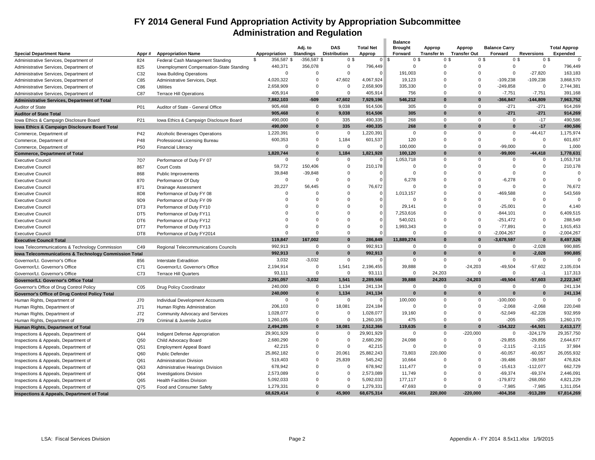#### **FY 2014 General Fund Appropriation Activity by Appropriation Subcommittee Administration and Regulation**  $\overline{\phantom{a}}$

|                                                                  |                 |                                          |                     |                        |                               |                        | <b>Balance</b>    |                |                    |                            |                           |                |                                     |                      |
|------------------------------------------------------------------|-----------------|------------------------------------------|---------------------|------------------------|-------------------------------|------------------------|-------------------|----------------|--------------------|----------------------------|---------------------------|----------------|-------------------------------------|----------------------|
|                                                                  |                 |                                          |                     | Adj. to                | <b>DAS</b>                    | <b>Total Net</b>       | <b>Brought</b>    |                | Approp             | Approp                     | <b>Balance Carry</b>      |                |                                     | <b>Total Approp</b>  |
| <b>Special Department Name</b>                                   | Appr#           | <b>Appropriation Name</b>                | Appropriation       | <b>Standings</b>       | <b>Distribution</b>           | Approp                 | Forward<br>$0$ \$ | 0 <sup>5</sup> | <b>Transfer In</b> | <b>Transfer Out</b><br>0\$ | Forward<br>0 <sup>5</sup> | 0 <sup>5</sup> | <b>Reversions</b><br>0 <sup>5</sup> | Expended<br>$\Omega$ |
| Administrative Services, Department of                           | 824             | Federal Cash Management Standing         | \$<br>356,587 \$    | $-356,587$ \$          | 0 <sup>5</sup><br>$\mathbf 0$ |                        |                   | 0              | 0                  |                            | 0                         | $\mathbf 0$    | $\mathbf 0$                         |                      |
| Administrative Services, Department of                           | 825             | Unemployment Compensation-State Standing | 440,371<br>$\Omega$ | 356,078<br>$\mathbf 0$ | $\mathbf 0$                   | 796,449<br>$\mathbf 0$ |                   |                | $\Omega$           |                            | 0                         | $\mathbf 0$    |                                     | 796,449              |
| Administrative Services, Department of                           | C32             | Iowa Building Operations                 |                     |                        |                               |                        |                   | 191,003        |                    |                            |                           |                | $-27,820$                           | 163,183              |
| Administrative Services, Department of                           | C85             | Administrative Services, Dept.           | 4,020,322           | $\overline{0}$         | 47,602                        | 4,067,924              |                   | 19,123         | $\Omega$           |                            | $\Omega$<br>$-109,238$    |                | $-109,238$                          | 3,868,570            |
| Administrative Services, Department of                           | C86             | <b>Utilities</b>                         | 2,658,909           | $\Omega$               | $\mathbf 0$                   | 2,658,909              |                   | 335,330        | $\Omega$           |                            | $\Omega$<br>$-249,858$    |                | $\Omega$                            | 2,744,381            |
| Administrative Services, Department of                           | C87             | <b>Terrace Hill Operations</b>           | 405,914             | $\mathbf 0$            | $\mathbf 0$                   | 405,914                |                   | 756            | $\Omega$           |                            | $\Omega$<br>$-7,751$      |                | $-7,751$                            | 391,168              |
| Administrative Services, Department of Total                     |                 |                                          | 7,882,103           | $-509$                 | 47,602                        | 7,929,196              |                   | 546,212        | 0                  |                            | $\bf{0}$<br>$-366,847$    |                | $-144,809$                          | 7,963,752            |
| Auditor of State                                                 | P01             | Auditor of State - General Office        | 905,468             | $\mathbf 0$            | 9,038                         | 914,506                |                   | 305            | $\mathbf 0$        |                            | $\Omega$                  | $-271$         | $-271$                              | 914,269              |
| <b>Auditor of State Total</b>                                    |                 |                                          | 905,468             | $\mathbf{0}$           | 9,038                         | 914,506                |                   | 305            | $\Omega$           |                            | $\Omega$                  | $-271$         | $-271$                              | 914,269              |
| Iowa Ethics & Campaign Disclosure Board                          | P21             | Iowa Ethics & Campaign Disclosure Board  | 490,000             | 0                      | 335                           | 490,335                |                   | 268            | $\mathbf 0$        |                            | $\mathbf{0}$              | $\Omega$       | $-17$                               | 490,586              |
| lowa Ethics & Campaign Disclosure Board Total                    |                 |                                          | 490,000             | $\mathbf{0}$           | 335                           | 490,335                |                   | 268            | $\Omega$           |                            | $\bf{0}$                  | $\bf{0}$       | $-17$                               | 490,586              |
| Commerce, Department of                                          | P42             | Alcoholic Beverages Operations           | 1,220,391           | $\mathbf 0$            | 0                             | 1,220,391              |                   | $\Omega$       | $\Omega$           |                            | $\Omega$                  | $\Omega$       | $-44, 417$                          | 1,175,974            |
| Commerce, Department of                                          | P48             | Professional Licensing Bureau            | 600,353             | $\mathbf 0$            | 1,184                         | 601,537                |                   | 120            | $\Omega$           |                            | $\Omega$                  | $\Omega$       | $\mathbf 0$                         | 601,657              |
| Commerce, Department of                                          | P <sub>50</sub> | <b>Financial Literacy</b>                | $\Omega$            | $\Omega$               | $\overline{0}$                | $\Omega$               |                   | 100,000        | $\Omega$           |                            | $\Omega$<br>$-99,000$     |                | $\mathbf 0$                         | 1,000                |
| <b>Commerce, Department of Total</b>                             |                 |                                          | 1,820,744           | $\bf{0}$               | 1,184                         | 1,821,928              |                   | 100,120        | 0                  |                            | -99,000<br>$\bf{0}$       |                | $-44,418$                           | 1,778,631            |
| <b>Executive Council</b>                                         | 7D7             | Performance of Duty FY 07                | $\Omega$            | $\Omega$               | $\mathbf 0$                   | $\overline{0}$         | 1,053,718         |                | $\Omega$           |                            | $\Omega$                  | $\Omega$       | $\mathbf 0$                         | 1,053,718            |
| <b>Executive Council</b>                                         | 867             | <b>Court Costs</b>                       | 59,772              | 150,406                | $\mathbf 0$                   | 210,178                |                   | $\Omega$       | $\Omega$           |                            | $\Omega$                  | $\Omega$       | $\Omega$                            | 210,178              |
| <b>Executive Council</b>                                         | 868             | Public Improvements                      | 39,848              | $-39,848$              | $\mathbf 0$                   | $\Omega$               |                   | $\Omega$       | $\Omega$           |                            | $\Omega$                  | $\Omega$       | $\mathbf 0$                         | $\Omega$             |
| <b>Executive Council</b>                                         | 870             | Performance Of Duty                      | $\mathbf 0$         | $\mathbf 0$            | $\mathbf 0$                   | $\mathbf 0$            |                   | 6,278          | $\Omega$           |                            | $\Omega$<br>$-6,278$      |                | $\mathbf 0$                         | $\Omega$             |
| <b>Executive Council</b>                                         | 871             | <b>Drainage Assessment</b>               | 20,227              | 56,445                 | $\Omega$                      | 76,672                 |                   | $\Omega$       | $\Omega$           |                            | $\Omega$                  | $\Omega$       | $\Omega$                            | 76,672               |
| <b>Executive Council</b>                                         | 8D <sub>8</sub> | Performance of Duty FY 08                | $\Omega$            | $\Omega$               | $\Omega$                      | $\Omega$               | 1,013,157         |                | $\Omega$           |                            | -469,588<br>$\Omega$      |                | $\mathbf{0}$                        | 543,569              |
| <b>Executive Council</b>                                         | 9D9             | Performance of Duty FY 09                | $\Omega$            | $\Omega$               | $\Omega$                      | $\Omega$               |                   | $\Omega$       | $\Omega$           |                            | $\Omega$                  | $\Omega$       | $\Omega$                            |                      |
| <b>Executive Council</b>                                         | DT3             | Performance of Duty FY10                 | $\Omega$            | $\Omega$               | $\Omega$                      | $\mathbf 0$            |                   | 29,141         | $\Omega$           |                            | $\Omega$<br>$-25,001$     |                | $\mathbf 0$                         | 4,140                |
| <b>Executive Council</b>                                         | DT <sub>5</sub> | Performance of Duty FY11                 | $\Omega$            | $\Omega$               | $\Omega$                      | $\mathbf 0$            | 7,253,616         |                | $\Omega$           |                            | $\Omega$<br>$-844,101$    |                | $\mathbf 0$                         | 6,409,515            |
| <b>Executive Council</b>                                         | DT <sub>6</sub> | Performance of Duty FY12                 | $\Omega$            | $\Omega$               | $\Omega$                      | $\Omega$               |                   | 540,021        | $\Omega$           |                            | $\Omega$<br>$-251,472$    |                | $\mathbf 0$                         | 288,549              |
| <b>Executive Council</b>                                         | DT7             | Performance of Duty FY13                 | $\Omega$            | $\Omega$               | $\mathbf 0$                   | $\Omega$               | 1,993,343         |                | $\Omega$           |                            | $-77,891$<br>$\Omega$     |                | $\mathbf 0$                         | 1,915,453            |
| <b>Executive Council</b>                                         | DT8             | Performance of Duty FY2014               | $\Omega$            | $\Omega$               | $\Omega$                      | $\Omega$               |                   | $\Omega$       | $\Omega$           |                            | $\Omega$<br>$-2,004,267$  |                | $\Omega$                            | $-2,004,267$         |
| <b>Executive Council Total</b>                                   |                 |                                          | 119,847             | 167,002                | $\mathbf{0}$                  | 286,849                | 11,889,274        |                | 0                  |                            | $\bf{0}$<br>$-3,678,597$  |                | $\mathbf{0}$                        | 8,497,526            |
| Iowa Telecommunications & Technology Commission                  | C49             | Regional Telecommunications Councils     | 992,913             | $\mathbf 0$            | $\mathbf 0$                   | 992,913                |                   | $\Omega$       | $\mathbf 0$        |                            | $\mathbf 0$               | 0              | $-2,028$                            | 990,885              |
| <b>Iowa Telecommunications &amp; Technology Commission Total</b> |                 |                                          | 992,913             | $\Omega$               | $\mathbf{0}$                  | 992.913                |                   | $\Omega$       | $\Omega$           |                            | $\Omega$                  | $\bf{0}$       | $-2.028$                            | 990,885              |
| Governor/Lt. Governor's Office                                   | 856             | Interstate Extradition                   | 3,032               | $-3,032$               | $\mathbf 0$                   | $\Omega$               |                   | $\Omega$       | $\mathbf 0$        |                            | $\Omega$                  | $\mathbf 0$    | $\mathbf 0$                         | $\Omega$             |
| Governor/Lt. Governor's Office                                   | C71             | Governor/Lt. Governor's Office           | 2,194,914           | $\Omega$               | 1,541                         | 2,196,455              |                   | 39,888         | $\Omega$           | $-24,203$                  | $-49,504$                 |                | $-57,602$                           | 2,105,034            |
| Governor/Lt. Governor's Office                                   | C73             | <b>Terrace Hill Quarters</b>             | 93,111              | $\Omega$               | $\mathbf 0$                   | 93,111                 |                   | $\Omega$       | 24.203             |                            | $\Omega$                  | $\Omega$       | $-1$                                | 117.313              |
| Governor/Lt. Governor's Office Total                             |                 |                                          | 2,291,057           | $-3,032$               | 1,541                         | 2,289,566              |                   | 39,888         | 24.203             | $-24,203$                  | $-49.504$                 |                | $-57,603$                           | 2,222,347            |
| Governor's Office of Drug Control Policy                         | C <sub>05</sub> | Drug Policy Coordinator                  | 240,000             | $\mathbf 0$            | 1.134                         | 241,134                |                   | $\Omega$       | $\Omega$           |                            | $\Omega$                  | $\Omega$       | $\mathbf{0}$                        | 241,134              |
| <b>Governor's Office of Drug Control Policy Total</b>            |                 |                                          | 240,000             | $\mathbf{0}$           | 1,134                         | 241,134                |                   | $\bf{0}$       | $\bf{0}$           |                            | $\bf{0}$                  | $\bf{0}$       | $\bf{0}$                            | 241,134              |
| Human Rights, Department of                                      | J70             | Individual Development Accounts          | $\Omega$            | $\mathbf 0$            | $\mathbf 0$                   | $\Omega$               |                   | 100,000        | $\mathbf 0$        |                            | $\Omega$<br>$-100,000$    |                | $\mathbf 0$                         |                      |
| Human Rights, Department of                                      | J71             | Human Rights Administration              | 206,103             | $\Omega$               | 18,081                        | 224,184                |                   | $\Omega$       | $\Omega$           |                            | $-2,068$<br>$\Omega$      |                | $-2,068$                            | 220,048              |
| Human Rights, Department of                                      | <b>J72</b>      | Community Advocacy and Services          | 1,028,077           | $\mathbf 0$            | $\mathbf 0$                   | 1,028,077              |                   | 19,160         | $\Omega$           |                            | $\Omega$<br>$-52,049$     |                | $-62,228$                           | 932,959              |
| Human Rights, Department of                                      | J79             | Criminal & Juvenile Justice              | 1,260,105           | $\mathbf 0$            | $\mathbf 0$                   | 1,260,105              |                   | 475            | $\Omega$           |                            | $\Omega$                  | $-205$         | $-205$                              | 1,260,170            |
| Human Rights, Department of Total                                |                 |                                          | 2,494,285           | $\mathbf{0}$           | 18,081                        | 2,512,366              |                   | 119,635        | $\bf{0}$           |                            | $\bf{0}$<br>$-154,322$    |                | $-64,501$                           | 2,413,177            |
| Inspections & Appeals, Department of                             | Q44             | Indigent Defense Appropriation           | 29,901,929          | $\mathbf 0$            | 0                             | 29,901,929             |                   | $\Omega$       | $\mathbf 0$        | $-220,000$                 |                           | $\mathbf 0$    | $-324,179$                          | 29,357,750           |
| Inspections & Appeals, Department of                             | Q50             | Child Advocacy Board                     | 2,680,290           | $\mathbf 0$            | $\Omega$                      | 2,680,290              |                   | 24,098         | $\Omega$           |                            | $\Omega$<br>-29,855       |                | $-29,856$                           | 2,644,677            |
| Inspections & Appeals, Department of                             | Q51             | <b>Employment Appeal Board</b>           | 42,215              | $\Omega$               | $\mathbf 0$                   | 42,215                 |                   | $\Omega$       | $\Omega$           |                            | $\Omega$<br>$-2,115$      |                | $-2,115$                            | 37,984               |
| Inspections & Appeals, Department of                             | Q60             | <b>Public Defender</b>                   | 25,862,182          | $\mathbf 0$            | 20,061                        | 25,882,243             |                   | 73,803         | 220,000            |                            | $-60,057$<br>$\Omega$     |                | $-60,057$                           | 26,055,932           |
|                                                                  | Q61             |                                          | 519,403             | $\overline{0}$         | 25,839                        | 545,242                |                   | 10,664         | $\Omega$           |                            | $-39,486$<br>$\Omega$     |                | $-39,597$                           | 476,824              |
| Inspections & Appeals, Department of                             |                 | <b>Administration Division</b>           | 678,942             | $\mathbf 0$            | 0                             | 678,942                |                   | 111,477        | $\Omega$           |                            | $-15,613$<br>$\Omega$     |                | $-112,077$                          | 662,729              |
| Inspections & Appeals, Department of                             | Q63             | Administrative Hearings Division         | 2,573,089           | $\Omega$               | $^{\circ}$                    | 2,573,089              |                   | 11,749         | $\Omega$           |                            | $-69,374$<br>$\Omega$     |                | $-69,374$                           | 2.446.091            |
| Inspections & Appeals, Department of                             | Q64<br>Q65      | <b>Investigations Division</b>           | 5,092,033           | $\mathbf 0$            | $\mathbf 0$                   | 5,092,033              |                   | 177,117        | $\Omega$           |                            | 0<br>$-179,872$           |                | $-268,050$                          | 4,821,229            |
| Inspections & Appeals, Department of                             | Q75             | <b>Health Facilities Division</b>        | 1,279,331           | $\Omega$               | $\mathbf 0$                   | 1,279,331              |                   | 47,693         | $\Omega$           |                            | $\Omega$<br>$-7,985$      |                | $-7,985$                            | 1,311,054            |
| Inspections & Appeals, Department of                             |                 | Food and Consumer Safety                 | 68,629,414          | $\Omega$               | 45.900                        | 68.675.314             |                   | 456.601        | 220.000            | $-220.000$                 | $-404.358$                |                | $-913.289$                          | 67,814,269           |
| <b>Inspections &amp; Appeals, Department of Total</b>            |                 |                                          |                     |                        |                               |                        |                   |                |                    |                            |                           |                |                                     |                      |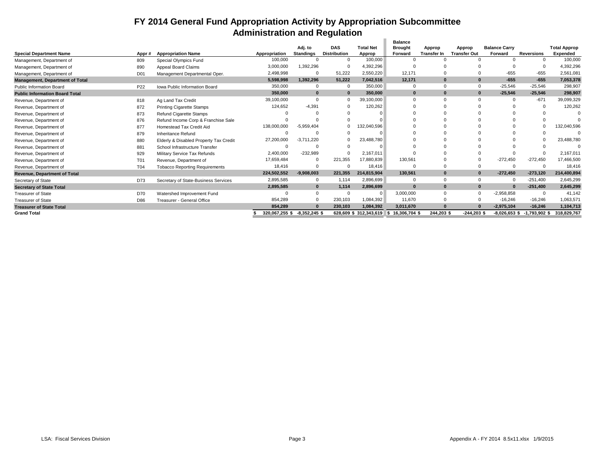#### **FY 2014 General Fund Appropriation Activity by Appropriation Subcommittee Administration and Regulation** à.

|                                        |                 |                                        |                |                  |                     |                       | <b>Balance</b>     |                    |                     |                      |                   |                     |
|----------------------------------------|-----------------|----------------------------------------|----------------|------------------|---------------------|-----------------------|--------------------|--------------------|---------------------|----------------------|-------------------|---------------------|
|                                        |                 |                                        |                | Adj. to          | <b>DAS</b>          | <b>Total Net</b>      | <b>Brought</b>     | Approp             | Approp              | <b>Balance Carry</b> |                   | <b>Total Approp</b> |
| <b>Special Department Name</b>         | Appr#           | <b>Appropriation Name</b>              | Appropriation  | <b>Standings</b> | <b>Distribution</b> | Approp                | Forward            | <b>Transfer In</b> | <b>Transfer Out</b> | Forward              | <b>Reversions</b> | Expended            |
| Management, Department of              | 809             | Special Olympics Fund                  | 100,000        |                  |                     | 100.000               |                    |                    |                     |                      |                   | 100,000             |
| Management, Department of              | 890             | Appeal Board Claims                    | 3,000,000      | 1,392,296        |                     | 4,392,296             |                    |                    |                     |                      |                   | 4,392,296           |
| Management, Department of              | D <sub>01</sub> | Management Departmental Oper.          | 2,498,998      | $\Omega$         | 51.222              | 2,550,220             | 12,171             |                    |                     | $-655$               | $-655$            | 2,561,081           |
| <b>Management, Department of Total</b> |                 |                                        | 5.598.998      | 1.392.296        | 51.222              | 7,042,516             | 12.171             | $\Omega$           |                     | $-655$               | $-655$            | 7,053,378           |
| <b>Public Information Board</b>        | P <sub>22</sub> | <b>Iowa Public Information Board</b>   | 350,000        | $\Omega$         | $\Omega$            | 350,000               | $\Omega$           | $\Omega$           |                     | $-25,546$            | $-25.546$         | 298,907             |
| <b>Public Information Board Total</b>  |                 |                                        | 350,000        | $\bf{0}$         | $\mathbf{0}$        | 350,000               | $\bf{0}$           | $\Omega$           |                     | $-25,546$            | $-25,546$         | 298,907             |
| Revenue, Department of                 | 818             | Ag Land Tax Credit                     | 39,100,000     | $\Omega$         |                     | 39,100,000            |                    |                    |                     |                      | $-671$            | 39,099,329          |
| Revenue, Department of                 | 872             | <b>Printing Cigarette Stamps</b>       | 124,652        | $-4.391$         |                     | 120,262               |                    |                    |                     |                      |                   | 120,262             |
| Revenue, Department of                 | 873             | <b>Refund Cigarette Stamps</b>         |                |                  |                     |                       |                    |                    |                     |                      |                   |                     |
| Revenue, Department of                 | 876             | Refund Income Corp & Franchise Sale    |                |                  |                     |                       |                    |                    |                     |                      |                   |                     |
| Revenue, Department of                 | 877             | Homestead Tax Credit Aid               | 138,000,000    | $-5.959.404$     |                     | 132,040,596           |                    |                    |                     |                      |                   | 132,040,596         |
| Revenue, Department of                 | 879             | Inheritance Refund                     |                |                  |                     |                       |                    |                    |                     |                      |                   |                     |
| Revenue, Department of                 | 880             | Elderly & Disabled Property Tax Credit | 27,200,000     | $-3.711.220$     |                     | 23,488,780            |                    |                    |                     |                      |                   | 23,488,780          |
| Revenue, Department of                 | 881             | School Infrastructure Transfer         |                |                  |                     |                       |                    |                    |                     |                      |                   |                     |
| Revenue, Department of                 | 929             | Military Service Tax Refunds           | 2,400,000      | $-232,989$       |                     | 2.167.011             |                    |                    |                     |                      |                   | 2,167,011           |
| Revenue, Department of                 | T01             | Revenue, Department of                 | 17,659,484     |                  | 221.355             | 17,880,839            | 130,561            |                    |                     | $-272.450$           | $-272,450$        | 17,466,500          |
| Revenue, Department of                 | <b>T04</b>      | <b>Tobacco Reporting Requirements</b>  | 18,416         | <sup>0</sup>     | $\Omega$            | 18,416                |                    |                    |                     |                      |                   | 18,416              |
| <b>Revenue, Department of Total</b>    |                 |                                        | 224,502,552    | $-9,908,003$     | 221,355             | 214,815,904           | 130,561            |                    |                     | $-272,450$           | $-273,120$        | 214,400,894         |
| Secretary of State                     | D73             | Secretary of State-Business Services   | 2.895.585      | $\Omega$         | 1.114               | 2.896.699             | $\Omega$           | $\Omega$           | $\Omega$            |                      | $-251.400$        | 2.645.299           |
| <b>Secretary of State Total</b>        |                 |                                        | 2,895,585      | $\bf{0}$         | 1.114               | 2.896.699             | $\Omega$           | $\Omega$           |                     |                      | $-251,400$        | 2,645,299           |
| <b>Treasurer of State</b>              | D70             | Watershed Improvement Fund             |                |                  | $\Omega$            | $\Omega$              | 3,000,000          | $\Omega$           | $\Omega$            | $-2.958.858$         |                   | 41.142              |
| <b>Treasurer of State</b>              | D86             | Treasurer - General Office             | 854,289        |                  | 230,103             | 1,084,392             | 11,670             |                    |                     | $-16,246$            | $-16,246$         | 1,063,571           |
| <b>Treasurer of State Total</b>        |                 |                                        | 854.289        |                  | 230,103             | 1,084,392             | 3.011.670          |                    |                     | $-2,975,104$         | $-16.246$         | 1,104,713           |
| <b>Grand Total</b>                     |                 |                                        | 320.067.255 \$ | $-8.352.245$ \$  |                     | 628.609 \$312.343.619 | 16.306.704<br>۱SS. | 244.203 \$         | $-244.203$ \$       | $-8.026.653$ \$      | $-1.793.902$ \$   | 318.829.767         |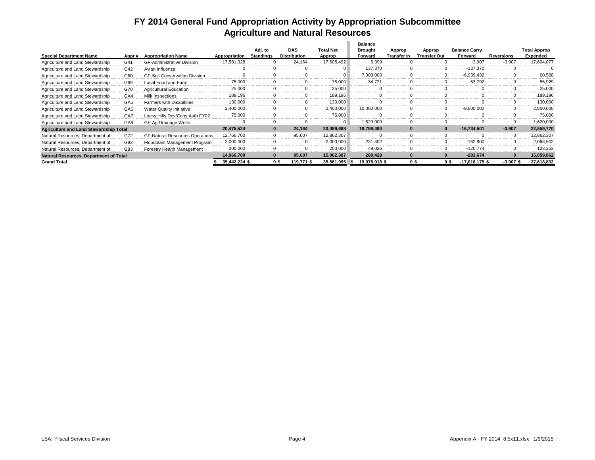### **FY 2014 General Fund Appropriation Activity by Appropriation Subcommittee Agriculture and Natural Resources**

|                                               |                 |                                        |               |           |                   |                  | Balance       |             |                     |                          |             |                     |
|-----------------------------------------------|-----------------|----------------------------------------|---------------|-----------|-------------------|------------------|---------------|-------------|---------------------|--------------------------|-------------|---------------------|
|                                               |                 |                                        |               | Adj. to   | <b>DAS</b>        | <b>Total Net</b> | Brought       | Approp      | Approp              | <b>Balance Carry</b>     |             | <b>Total Approp</b> |
| <b>Special Department Name</b>                | Appr#           | <b>Appropriation Name</b>              | Appropriation | Standings | Distribution      | Approp           | Forward       | Transfer In | <b>Transfer Out</b> | Forward                  | Reversions  | Expended            |
| Agriculture and Land Stewardship              | G41             | <b>GF-Administrative Division</b>      | 17,581,328    |           | 24,164            | 17,605,492       | 6,399         |             |                     | $-3,907$                 | $-3,907$    | 17,604,077          |
| Agriculture and Land Stewardship              | G42             | Avian Influenza                        |               |           |                   | $\Omega$         | 137,370       |             |                     | $-137.370$               |             |                     |
| Agriculture and Land Stewardship              | G60             | <b>GF-Soil Conservation Division</b>   |               |           |                   |                  | 7,000,000     |             |                     | $-6,939,432$             |             | 60,568              |
| Agriculture and Land Stewardship              | G69             | Local Food and Farm                    | 75,000        |           |                   | 75,000           | 34,721        |             |                     | $-53,792$                |             | 55,929              |
| Agriculture and Land Stewardship              | G70             | <b>Agricultural Education</b>          | 25,000        |           |                   | 25,000           |               |             |                     |                          |             | 25,000              |
| Agriculture and Land Stewardship              | GA4             | Milk Inspections                       | 189,196       |           |                   | 189.196          |               |             |                     |                          |             | 189,196             |
| Agriculture and Land Stewardship              | GA <sub>5</sub> | <b>Farmers with Disabilities</b>       | 130,000       |           |                   | 130,000          |               |             |                     |                          |             | 130.000             |
| Agriculture and Land Stewardship              | GA <sub>6</sub> | <b>Water Quality Initiative</b>        | 2,400,000     |           |                   | 2,400,000        | 10,000,000    |             |                     | $-9,600,000$             |             | 2,800,000           |
| Agriculture and Land Stewardship              | GA7             | Loess Hills Dev/Cons Auth FY02         | 75,000        |           |                   | 75,000           |               |             |                     |                          |             | 75.000              |
| Agriculture and Land Stewardship              | GA <sub>8</sub> | GF-Ag Drainage Wells                   |               |           |                   | $\Omega$         | 1.620.000     |             |                     |                          |             | 1,620,000           |
| <b>Agriculture and Land Stewardship Total</b> |                 |                                        | 20,475,524    |           | 24.164            | 20,499,688       | 18,798,490    |             |                     | $-16,734,501$            | $-3,907$    | 22,559,770          |
| Natural Resources, Department of              | G72             | <b>GF-Natural Resources Operations</b> | 12,766,700    |           | 95,607            | 12,862,307       |               |             |                     |                          |             | 12,862,307          |
| Natural Resources, Department of              | G82             | Floodplain Management Program          | 2,000,000     |           | $\Omega$          | 2.000.000        | 231.402       |             |                     | $-162.900$               |             | 2.068.502           |
| Natural Resources, Department of              | G83             | Forestry Health Management             | 200,000       |           |                   | 200.000          | 49.026        |             |                     | $-120.774$               |             | 128.253             |
| <b>Natural Resources, Department of Total</b> |                 |                                        | 14,966,700    | $\bf{0}$  | 95,607            | 15,062,307       | 280,428       |             |                     | $-283,674$               | $\Omega$    | 15,059,062          |
| <b>Grand Total</b>                            |                 |                                        | 35,442,224 \$ |           | 0\$<br>119.771 \$ | 35,561,995       | 19,078,918 \$ |             | 0\$                 | 0 \$<br>$-17,018,175$ \$ | $-3,907$ \$ | 37,618,832          |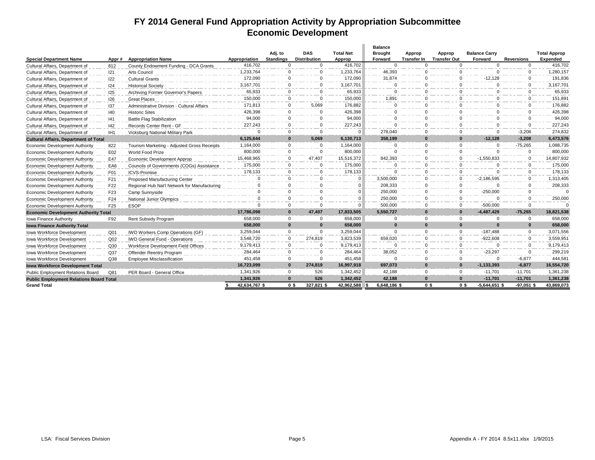### **FY 2014 General Fund Appropriation Activity by Appropriation Subcommittee Economic Development**

|                                                |                  |                                              |               |                             |                                   |                            | <b>Balance</b>                   |                              |                                  |                                 |                   |                                 |
|------------------------------------------------|------------------|----------------------------------------------|---------------|-----------------------------|-----------------------------------|----------------------------|----------------------------------|------------------------------|----------------------------------|---------------------------------|-------------------|---------------------------------|
| <b>Special Department Name</b>                 | Appr#            | <b>Appropriation Name</b>                    | Appropriation | Adj. to<br><b>Standings</b> | <b>DAS</b><br><b>Distribution</b> | <b>Total Net</b><br>Approp | <b>Brought</b><br><b>Forward</b> | Approp<br><b>Transfer In</b> | Approp<br><b>Transfer Out</b>    | <b>Balance Carry</b><br>Forward | <b>Reversions</b> | <b>Total Approp</b><br>Expended |
| Cultural Affairs, Department of                | 812              | County Endowment Funding - DCA Grants        | 416.702       | $\mathbf 0$                 | $\mathbf 0$                       | 416.702                    | $\Omega$                         | $\Omega$                     | $\Omega$                         | $\Omega$                        | $\mathbf{0}$      | 416,702                         |
| Cultural Affairs, Department of                | 121              | Arts Council                                 | 1,233,764     | 0                           | $\mathbf 0$                       | 1,233,764                  | 46,393                           | $\Omega$                     | $\Omega$                         | $\Omega$                        | $\Omega$          | 1,280,157                       |
| Cultural Affairs, Department of                | 122              | <b>Cultural Grants</b>                       | 172,090       | $\Omega$                    | $\mathbf 0$                       | 172,090                    | 31,874                           | $\Omega$                     |                                  | $-12,128$                       | $\Omega$          | 191,836                         |
| Cultural Affairs, Department of                | 124              | <b>Historical Society</b>                    | 3,167,701     | $\Omega$                    | $\mathbf 0$                       | 3,167,701                  | $\Omega$                         | $\Omega$                     | $\Omega$                         | $\Omega$                        | $\Omega$          | 3,167,701                       |
| Cultural Affairs, Department of                | 125              | Archiving Former Governor's Papers           | 65,933        | 0                           | $\mathbf 0$                       | 65.933                     | $\Omega$                         | $\Omega$                     | $\Omega$                         | $\mathbf{0}$                    | $\mathbf{0}$      | 65,933                          |
| Cultural Affairs, Department of                | 126              | <b>Great Places</b>                          | 150,000       | $\Omega$                    | $\Omega$                          | 150,000                    | 1,891                            | $\Omega$                     | $\Omega$                         | $\Omega$                        | $\Omega$          | 151,891                         |
| Cultural Affairs, Department of                | 137              | Administrative Division - Cultural Affairs   | 171.813       | 0                           | 5.069                             | 176.882                    | $\Omega$                         | $\Omega$                     | $\Omega$                         | $\Omega$                        | $\mathbf{0}$      | 176.882                         |
| Cultural Affairs, Department of                | 40               | <b>Historic Sites</b>                        | 426,398       | $\mathbf{0}$                | $\Omega$                          | 426.398                    | $\Omega$                         | $\Omega$                     | $\Omega$                         | $\Omega$                        | $\Omega$          | 426,398                         |
| Cultural Affairs, Department of                | 41               | <b>Battle Flag Stabilization</b>             | 94,000        | $\mathbf{0}$                | $\mathbf 0$                       | 94,000                     | $\Omega$                         | $\Omega$                     | $\Omega$                         | $\Omega$                        | $\mathbf{0}$      | 94,000                          |
| Cultural Affairs, Department of                | 42               | Records Center Rent - GF                     | 227,243       | $\mathbf{0}$                | $\Omega$                          | 227,243                    | $\Omega$                         | $\Omega$                     | $\Omega$                         | $\Omega$                        | $\mathbf{0}$      | 227,243                         |
| Cultural Affairs, Department of                | IH <sub>1</sub>  | Vicksburg National Military Park             | $\Omega$      | $\mathbf{0}$                | $\mathbf 0$                       | $\Omega$                   | 278.040                          | $\Omega$                     | $\Omega$                         | $\Omega$                        | $-3.208$          | 274.832                         |
| <b>Cultural Affairs, Department of Total</b>   |                  |                                              | 6,125,644     | $\bf{0}$                    | 5.069                             | 6.130.713                  | 358.199                          | $\bf{0}$                     | $\Omega$                         | $-12.128$                       | $-3.208$          | 6,473,576                       |
| <b>Economic Development Authority</b>          | 822              | Tourism Marketing - Adjusted Gross Receipts  | 1,164,000     | $\mathbf{0}$                | $\mathbf 0$                       | 1,164,000                  | $\Omega$                         | $\Omega$                     | $\Omega$                         | $\Omega$                        | $-75,265$         | 1,088,735                       |
| <b>Economic Development Authority</b>          | E02              | World Food Prize                             | 800,000       | $\mathbf{0}$                | $\Omega$                          | 800,000                    | $\Omega$                         | $\Omega$                     | $\Omega$                         | $\Omega$                        | $\Omega$          | 800,000                         |
| <b>Economic Development Authority</b>          | E47              | Economic Development Approp                  | 15,468,965    | $\mathbf{0}$                | 47.407                            | 15.516.372                 | 842,393                          | $\Omega$                     | $\Omega$                         | $-1,550,833$                    | $\mathbf 0$       | 14,807,932                      |
| <b>Economic Development Authority</b>          | EA6              | Councils of Governments (COGs) Assistance    | 175,000       | $\Omega$                    | $\Omega$                          | 175.000                    | $\Omega$                         | $\Omega$                     | $\Omega$                         | $\Omega$                        | $\Omega$          | 175,000                         |
| <b>Economic Development Authority</b>          | F <sub>0</sub> 1 | <b>ICVS-Promise</b>                          | 178,133       | $\Omega$                    | $\mathbf 0$                       | 178.133                    | $\Omega$                         | $\Omega$                     | $\Omega$                         | $\Omega$                        | $\mathbf{0}$      | 178.133                         |
| <b>Economic Development Authority</b>          | F21              | Proposed Manufacturing Center                | $\Omega$      | $\mathbf 0$                 | $\Omega$                          | $\Omega$                   | 3,500,000                        | $\Omega$                     | $\Omega$                         | $-2,186,595$                    | $\Omega$          | 1,313,405                       |
| <b>Economic Development Authority</b>          | F22              | Regional Hub Nat'l Network for Manufacturing | $\Omega$      | $\Omega$                    | $\Omega$                          | <sup>0</sup>               | 208,333                          | $\Omega$                     | $\Omega$                         | $\Omega$                        | $\mathbf 0$       | 208,333                         |
| <b>Economic Development Authority</b>          | F <sub>23</sub>  | Camp Sunnyside                               | $\Omega$      | $\Omega$                    | $\Omega$                          | $\Omega$                   | 250,000                          | $\Omega$                     | $\Omega$                         | $-250,000$                      | $\Omega$          | $\Omega$                        |
| <b>Economic Development Authority</b>          | F24              | National Junior Olympics                     | $\Omega$      | $\mathbf 0$                 | $\Omega$                          | U                          | 250.000                          | $\Omega$                     | $\Omega$                         | $\Omega$                        | $\mathbf 0$       | 250,000                         |
| <b>Economic Development Authority</b>          | F <sub>25</sub>  | <b>ESOP</b>                                  | $\Omega$      | $\Omega$                    | $\Omega$                          | $\Omega$                   | 500.000                          | $\Omega$                     | $\Omega$                         | $-500.000$                      | $\Omega$          | $\Omega$                        |
| <b>Economic Development Authority Total</b>    |                  |                                              | 17.786.098    | $\mathbf{0}$                | 47.407                            | 17.833.505                 | 5.550.727                        | $\Omega$                     | $\Omega$                         | $-4.487.429$                    | $-75.265$         | 18,821,538                      |
| Iowa Finance Authority                         | F92              | Rent Subsidy Program                         | 658,000       | $\Omega$                    | $\Omega$                          | 658.000                    | $\Omega$                         | $\Omega$                     | $\Omega$                         | $\Omega$                        | $\Omega$          | 658,000                         |
| <b>Iowa Finance Authority Total</b>            |                  |                                              | 658,000       | $\mathbf{0}$                | $\mathbf{0}$                      | 658,000                    | $\Omega$                         | $\Omega$                     | $\Omega$                         | $\Omega$                        | $\bf{0}$          | 658,000                         |
| Iowa Workforce Development                     | Q <sub>01</sub>  | IWD Workers Comp Operations (GF)             | 3,259,044     | $\Omega$                    | $\Omega$                          | 3,259,044                  | $\Omega$                         | $\Omega$                     | $\Omega$                         | $-187.488$                      | $\Omega$          | 3,071,556                       |
| Iowa Workforce Development                     | Q <sub>02</sub>  | <b>IWD General Fund - Operations</b>         | 3.548.720     | $\mathbf 0$                 | 274.819                           | 3.823.539                  | 659.020                          | $\Omega$                     | $\Omega$                         | $-922.608$                      | $\Omega$          | 3.559.95                        |
| Iowa Workforce Development                     | Q30              | Workforce Development Field Offices          | 9,179,413     | $\Omega$                    | $\Omega$                          | 9,179,413                  | $\Omega$                         | $\Omega$                     | $\Omega$                         | $\Omega$                        | $\Omega$          | 9,179,413                       |
| Iowa Workforce Development                     | Q <sub>37</sub>  | Offender Reentry Program                     | 284.464       | $\mathbf 0$                 | $\mathbf 0$                       | 284.464                    | 38.052                           | $\Omega$                     | $\Omega$                         | $-23.297$                       | $\mathbf{0}$      | 299,219                         |
| Iowa Workforce Development                     | Q <sub>38</sub>  | Employee Misclassification                   | 451.458       | $\Omega$                    | $\Omega$                          | 451.458                    | $\Omega$                         | $\Omega$                     | $\Omega$                         | $\Omega$                        | $-6.877$          | 444.581                         |
| <b>Iowa Workforce Development Total</b>        |                  |                                              | 16,723,099    | $\mathbf{0}$                | 274,819                           | 16,997,918                 | 697,073                          | $\Omega$                     | $\Omega$                         | $-1, 133, 393$                  | $-6,877$          | 16,554,720                      |
| <b>Public Employment Relations Board</b>       | Q81              | PER Board - General Office                   | 1,341,926     | 0                           | 526                               | 1,342,452                  | 42.188                           | $\Omega$                     | $\Omega$                         | $-11.701$                       | $-11.701$         | 1,361,238                       |
| <b>Public Employment Relations Board Total</b> |                  |                                              | 1.341.926     | $\Omega$                    | 526                               | 1.342.452                  | 42.188                           | $\Omega$                     | $\Omega$                         | $-11.701$                       | $-11.701$         | 1.361.238                       |
| <b>Grand Total</b>                             |                  |                                              | 42,634,767 \$ |                             | 0 <sup>s</sup><br>327.821 \$      | 42.962.588                 | 6.648.186 \$                     |                              | 0 <sup>s</sup><br>0 <sup>s</sup> | $-5.644.651$ \$                 | $-97.051$ \$      | 43.869.073                      |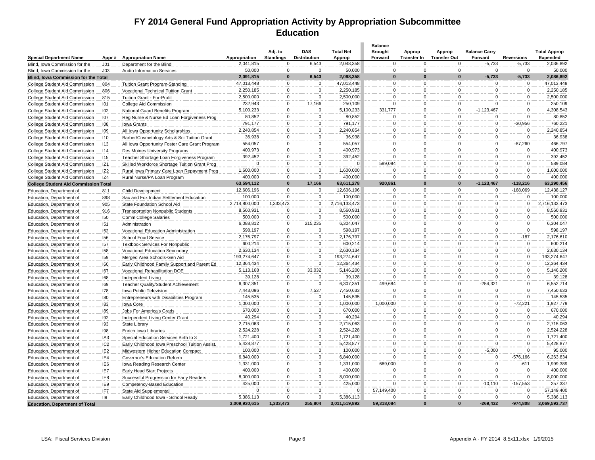### **FY 2014 General Fund Appropriation Activity by Appropriation Subcommittee Education**

|                                             |                 |                                                |                       |                             |                                   |                            | <b>Balance</b>            |                              |                               |                                 |                        |                                 |
|---------------------------------------------|-----------------|------------------------------------------------|-----------------------|-----------------------------|-----------------------------------|----------------------------|---------------------------|------------------------------|-------------------------------|---------------------------------|------------------------|---------------------------------|
| <b>Special Department Name</b>              | Appr#           | <b>Appropriation Name</b>                      | Appropriation         | Adj. to<br><b>Standings</b> | <b>DAS</b><br><b>Distribution</b> | <b>Total Net</b><br>Approp | <b>Brought</b><br>Forward | Approp<br><b>Transfer In</b> | Approp<br><b>Transfer Out</b> | <b>Balance Carry</b><br>Forward | <b>Reversions</b>      | <b>Total Approp</b><br>Expended |
| Blind, Iowa Commission for the              | J <sub>01</sub> | Department for the Blind                       | 2,041,815             | $\mathbf 0$                 | 6,543                             | 2,048,358                  | $\Omega$                  | $\Omega$                     | $\Omega$                      | $-5,733$                        | $-5,733$               | 2,036,892                       |
| Blind, Iowa Commission for the              | J03             | <b>Audio Information Services</b>              | 50,000                | $\overline{0}$              | $\mathsf 0$                       | 50,000                     | 0                         | 0                            | $\mathbf 0$                   | $\Omega$                        | $\mathbf 0$            | 50,000                          |
| Blind, Iowa Commission for the Total        |                 |                                                | 2,091,815             | $\bf{0}$                    | 6,543                             | 2,098,358                  | $\Omega$                  | O                            | $\Omega$                      | $-5,733$                        | $-5,733$               | 2,086,892                       |
| College Student Aid Commission              | 804             | <b>Tuition Grant Program-Standing</b>          | 47,013,448            | $\mathbf 0$                 | $\mathbf 0$                       | 47,013,448                 | $\mathbf 0$               | $\mathbf 0$                  | $\Omega$                      | $\Omega$                        | $\mathbf 0$            | 47,013,448                      |
| College Student Aid Commission              | 806             | Vocational Technical Tuition Grant             | 2,250,185             | $\mathbf 0$                 | $\Omega$                          | 2,250,185                  | $\Omega$                  | $\Omega$                     | $\Omega$                      | $\Omega$                        | $\Omega$               | 2,250,185                       |
| College Student Aid Commission              | 815             | Tuition Grant - For-Profit                     | 2,500,000             | $\mathbf 0$                 | $\Omega$                          | 2,500,000                  | $\Omega$                  | $\Omega$                     | $\Omega$                      | $\Omega$                        | $\mathbf 0$            | 2,500,000                       |
| College Student Aid Commission              | 101             | College Aid Commission                         | 232,943               | $\Omega$                    | 17,166                            | 250,109                    | $\Omega$                  | $\Omega$                     | $\Omega$                      |                                 | $\Omega$               | 250,109                         |
| College Student Aid Commission              | 102             | National Guard Benefits Program                | 5,100,233             | $\mathbf 0$                 | $\Omega$                          | 5,100,233                  | 331,777                   | $\Omega$                     | $\Omega$                      | $-1,123,467$                    | $\Omega$               | 4,308,543                       |
| College Student Aid Commission              | 107             | Reg Nurse & Nurse Ed Loan Forgiveness Prog     | 80,852                | $\mathbf 0$                 | 0                                 | 80,852                     | $\Omega$                  | $\Omega$                     | $\Omega$                      | $\Omega$                        | $\Omega$               | 80,852                          |
| College Student Aid Commission              | 108             | Iowa Grants                                    | 791,177               | $\mathbf 0$                 | $\mathbf 0$                       | 791,177                    | $\Omega$                  | $\Omega$                     | $\Omega$                      | $\Omega$                        | $-30,956$              | 760,221                         |
| College Student Aid Commission              | 109             | All Iowa Opportunity Scholarships              | 2,240,854             | $\overline{0}$              | $\mathsf{O}\xspace$               | 2,240,854                  | $\Omega$                  | $\Omega$                     | $\Omega$                      | $\Omega$                        | $\Omega$               | 2,240,854                       |
| College Student Aid Commission              | 110             | Barber/Cosmetology Arts & Sci Tuition Grant    | 36,938                | $\Omega$                    | $\mathbf 0$                       | 36.938                     | $\Omega$                  | $\Omega$                     | $\Omega$                      | $\Omega$                        | $\Omega$               | 36,938                          |
|                                             | 113             |                                                | 554,057               | $\mathbf 0$                 | $\mathbf 0$                       | 554,057                    | $\Omega$                  | $\Omega$                     | $\Omega$                      | $\Omega$                        | $-87,260$              | 466,797                         |
| College Student Aid Commission              | 114             | All Iowa Opportunity Foster Care Grant Program | 400,973               | $\mathbf 0$                 | $\mathbf 0$                       | 400,973                    | $\Omega$                  | $\Omega$                     | $\Omega$                      | $\Omega$                        | $\Omega$               | 400,973                         |
| College Student Aid Commission              |                 | Des Moines University Programs                 | 392,452               | $\mathsf 0$                 | $\mathbf 0$                       | 392,452                    | $\Omega$                  | $\Omega$                     | $\Omega$                      | $\Omega$                        | $\Omega$               | 392,452                         |
| College Student Aid Commission              | 115             | Teacher Shortage Loan Forgiveness Program      | $\Omega$              | $\mathbf 0$                 | $\Omega$                          | $\Omega$                   | 589,084                   | $\Omega$                     | $\Omega$                      | $\Omega$                        | $\Omega$               | 589,084                         |
| College Student Aid Commission              | IZ <sub>1</sub> | Skilled Workforce Shortage Tuition Grant Prog  | 1,600,000             | $\mathbf 0$                 | $\Omega$                          |                            | $\Omega$                  | $\Omega$                     | $\Omega$                      | $\Omega$                        | $\mathbf 0$            | 1,600,000                       |
| College Student Aid Commission              | IZ <sub>2</sub> | Rural Iowa Primary Care Loan Repayment Prog    |                       | $\Omega$                    | $\Omega$                          | 1,600,000                  |                           | $\Omega$                     |                               |                                 |                        |                                 |
| College Student Aid Commission              | IZ4             | Rural Nurse/PA Loan Program                    | 400,000<br>63,594,112 | $\Omega$                    | 17,166                            | 400,000<br>63,611,278      | $\Omega$<br>920.861       | O                            | $\Omega$<br>$\Omega$          | $\Omega$<br>$-1.123.467$        | $\Omega$<br>$-118,216$ | 400,000<br>63,290,456           |
| <b>College Student Aid Commission Total</b> |                 |                                                | 12,606,196            | $\mathsf 0$                 | $\mathbf 0$                       | 12,606,196                 |                           | $\mathbf 0$                  | $\Omega$                      |                                 | $-168,069$             | 12,438,127                      |
| Education, Department of                    | 811             | Child Development                              | 100.000               | $\Omega$                    | $\Omega$                          | 100.000                    | 0<br>$\Omega$             | $\Omega$                     | $\Omega$                      | 0<br>$\Omega$                   | $\Omega$               | 100,000                         |
| Education, Department of                    | 898             | Sac and Fox Indian Settlement Education        |                       |                             |                                   |                            |                           |                              |                               |                                 |                        |                                 |
| Education, Department of                    | 905             | State Foundation School Aid                    | 2,714,800,000         | 1,333,473                   | $\mathbf 0$                       | 2,716,133,473              | $\Omega$                  | $\Omega$                     | $\Omega$                      | $\Omega$                        | $\Omega$               | 2,716,133,473                   |
| Education, Department of                    | 916             | <b>Transportation Nonpublic Students</b>       | 8,560,931             | $\Omega$                    | $\Omega$                          | 8,560,931                  | $\Omega$                  | $\Omega$                     | $\Omega$                      |                                 | $\Omega$               | 8,560,931                       |
| Education, Department of                    | 150             | Comm College Salaries                          | 500,000               | $\mathbf 0$                 | $\Omega$                          | 500,000                    | 0                         | $\Omega$                     | $\Omega$                      | $\Omega$                        | $\Omega$               | 500,000                         |
| Education, Department of                    | 151             | Administration                                 | 6,088,812             | $\mathbf 0$                 | 215,235                           | 6,304,047                  | $\Omega$                  | $\Omega$                     | $\Omega$                      | $\Omega$                        | $\Omega$               | 6,304,047                       |
| Education, Department of                    | 152             | Vocational Education Administration            | 598,197               | $\Omega$                    | $\mathbf 0$                       | 598,197                    | $\Omega$                  | $\Omega$                     | $\Omega$                      | $\Omega$                        | $\Omega$               | 598,197                         |
| Education, Department of                    | 156             | School Food Service                            | 2,176,797             | $\Omega$                    | 0                                 | 2,176,797                  | $\Omega$                  | $\Omega$                     | $\Omega$                      | $\Omega$                        | $-187$                 | 2,176,610                       |
| Education, Department of                    | 157             | <b>Textbook Services For Nonpublic</b>         | 600,214               | $\mathbf 0$                 | 0                                 | 600,214                    | $\Omega$                  | $\Omega$                     | $\Omega$                      | $\Omega$                        | $\mathbf 0$            | 600,214                         |
| Education, Department of                    | 158             | Vocational Education Secondary                 | 2,630,134             | $\Omega$                    | 0                                 | 2,630,134                  | $\Omega$                  | $\Omega$                     | $\Omega$                      | $\Omega$                        | $\Omega$               | 2,630,134                       |
| Education, Department of                    | 159             | Merged Area Schools-Gen Aid                    | 193,274,647           | $\Omega$                    | $\Omega$                          | 193,274,647                | $\Omega$                  | $\Omega$                     | $\Omega$                      | $\Omega$                        | $\Omega$               | 193.274.647                     |
| Education, Department of                    | 160             | Early Childhood Family Support and Parent Ed   | 12,364,434            | $\Omega$                    | $\Omega$                          | 12,364,434                 | $\Omega$                  | $\Omega$                     | $\Omega$                      | $\Omega$                        | $\mathbf 0$            | 12,364,434                      |
| Education, Department of                    | 167             | Vocational Rehabilitation DOE                  | 5,113,168             | $\mathbf 0$                 | 33,032                            | 5,146,200                  | $\Omega$                  | $\Omega$                     | $\Omega$                      |                                 | $\Omega$               | 5,146,200                       |
| Education, Department of                    | 168             | Independent Living                             | 39,128                | $\mathsf 0$                 | $\Omega$                          | 39,128                     | $\Omega$                  | $\Omega$                     | $\Omega$                      | $\Omega$                        | $\Omega$               | 39,128                          |
| Education, Department of                    | 169             | Teacher Quality/Student Achievement            | 6,307,351             | $\mathbf 0$                 | $\Omega$                          | 6,307,351                  | 499,684                   | $\Omega$                     | $\Omega$                      | $-254.321$                      | $\Omega$               | 6,552,714                       |
| Education, Department of                    | 178             | Iowa Public Television                         | 7,443,096             | $\mathbf 0$                 | 7,537                             | 7,450,633                  | $\Omega$                  | $\Omega$                     | $\Omega$                      | $\Omega$                        | $\Omega$               | 7,450,633                       |
| Education, Department of                    | 180             | Entrepreneurs with Disabilities Program        | 145,535               | $\mathbf 0$                 | 0                                 | 145,535                    | $\Omega$                  | $\Omega$                     | $\Omega$                      | $\Omega$                        | $\Omega$               | 145,535                         |
| Education, Department of                    | 183             | Iowa Core                                      | 1,000,000             | $\mathsf 0$                 | 0                                 | 1,000,000                  | 1,000,000                 | $\Omega$                     | $\mathbf 0$                   | $\mathbf 0$                     | $-72,221$              | 1,927,779                       |
| Education, Department of                    | 189             | Jobs For America's Grads                       | 670,000               | $\Omega$                    | 0                                 | 670,000                    | $\Omega$                  | $\Omega$                     | $\Omega$                      | $\Omega$                        | $\Omega$               | 670,000                         |
| Education, Department of                    | 192             | Independent Living Center Grant                | 40.294                | $\mathbf 0$                 | $\mathbf 0$                       | 40.294                     | $\Omega$                  | $\Omega$                     | $\Omega$                      | $\Omega$                        | $\Omega$               | 40,294                          |
| Education, Department of                    | 193             | State Library                                  | 2,715,063             | $\Omega$                    | $\mathbf 0$                       | 2.715.063                  | $\Omega$                  | $\Omega$                     | $\mathbf 0$                   | $\Omega$                        | $\Omega$               | 2,715,063                       |
| Education, Department of                    | 198             | Enrich Iowa Libraries                          | 2,524,228             | $\Omega$                    | $\mathbf 0$                       | 2,524,228                  | $\Omega$                  | $\Omega$                     | $\mathbf 0$                   | $\Omega$                        | $\Omega$               | 2,524,228                       |
| Education, Department of                    | IA3             | Special Education Services Birth to 3          | 1,721,400             | $\mathbf 0$                 | $\mathbf 0$                       | 1,721,400                  | $\Omega$                  | $\Omega$                     | $\Omega$                      | $\Omega$                        | $\mathbf 0$            | 1,721,400                       |
| Education, Department of                    | IC <sub>2</sub> | Early Childhood Iowa Preschool Tuition Assist. | 5,428,877             | $\mathbf 0$                 | $\mathbf 0$                       | 5,428,877                  | $\Omega$                  | $\Omega$                     | $\Omega$                      |                                 | $\Omega$               | 5,428,877                       |
| Education, Department of                    | IE <sub>2</sub> | Midwestern Higher Education Compact            | 100,000               | $\Omega$                    | 0                                 | 100,000                    | $\Omega$                  | $\Omega$                     | $\mathbf 0$                   | $-5,000$                        | $\Omega$               | 95,000                          |
| Education, Department of                    | IE4             | Governor's Education Reform                    | 6,840,000             | $\mathbf 0$                 | 0                                 | 6,840,000                  | $\Omega$                  | $\Omega$                     | $\Omega$                      | $\Omega$                        | $-576,166$             | 6,263,834                       |
| Education, Department of                    | IE <sub>6</sub> | Iowa Reading Research Center                   | 1,331,000             | $\mathbf 0$                 | 0                                 | 1,331,000                  | 669,000                   | $\Omega$                     | $\Omega$                      | $\Omega$                        | $-611$                 | 1,999,389                       |
| Education, Department of                    | IE7             | Early Head Start Projects                      | 400,000               | $\mathsf 0$                 | $\mathbf 0$                       | 400,000                    | $\Omega$                  | $\mathbf 0$                  | 0                             | $\Omega$                        | $\mathbf 0$            | 400,000                         |
| Education, Department of                    | IE8             | Successful Progression for Early Readers       | 8,000,000             | $\Omega$                    | $\mathbf 0$                       | 8,000,000                  | $\Omega$                  | $\Omega$                     | $\Omega$                      | $\Omega$                        | $\Omega$               | 8,000,000                       |
| Education, Department of                    | IE9             | Competency-Based Education                     | 425,000               | $\Omega$                    | $\mathbf 0$                       | 425,000                    | $\Omega$                  | $\Omega$                     | $\mathbf 0$                   | $-10,110$                       | $-157,553$             | 257,337                         |
| Education, Department of                    | IF7             | State Aid Supplemental                         |                       | $\mathbf 0$                 | $\Omega$                          |                            | 57,149,400                | $\Omega$                     | $\Omega$                      |                                 | $\Omega$               | 57,149,400                      |
| Education, Department of                    | <b>II9</b>      | Early Childhood Iowa - School Ready            | 5,386,113             | $\Omega$                    | $\mathbf 0$                       | 5,386,113                  | $\Omega$                  | $\Omega$                     | $\Omega$                      | $\Omega$                        | $\Omega$               | 5,386,113                       |
| <b>Education, Department of Total</b>       |                 |                                                | 3.009.930.615         | 1.333.473                   | 255.804                           | 3.011.519.892              | 59.318.084                | $\bf{0}$                     | $\Omega$                      | $-269.432$                      | $-974.808$             | 3.069.593.737                   |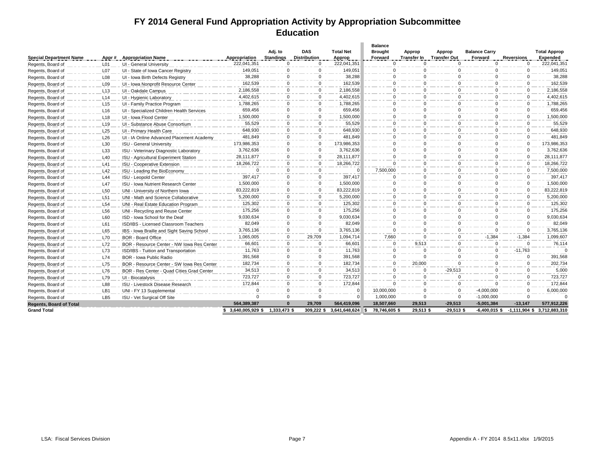### **FY 2014 General Fund Appropriation Activity by Appropriation Subcommittee Education**

| <b>Special Department Name</b> | Appr#            | <b>Appropriation Name</b>                  | Appropriation   | Adj. to<br><b>Standings</b> | <b>DAS</b><br><b>Distribution</b> | <b>Total Net</b><br>Approp | <b>Balance</b><br><b>Brought</b><br>Forward | Approp<br><b>Transfer In</b> | Approp<br><b>Transfer Out</b> | <b>Balance Carry</b><br>Forward | <b>Reversions</b> | <b>Total Approp</b><br><b>Expended</b> |
|--------------------------------|------------------|--------------------------------------------|-----------------|-----------------------------|-----------------------------------|----------------------------|---------------------------------------------|------------------------------|-------------------------------|---------------------------------|-------------------|----------------------------------------|
| Regents, Board of              | L <sub>01</sub>  | UI - General University                    | 222,041,351     | $\Omega$                    | $\Omega$                          | 222,041,351                | $\Omega$                                    | $\Omega$                     | $\Omega$                      | $\Omega$                        | $\mathbf 0$       | 222,041,351                            |
| Regents, Board of              | L <sub>0</sub> 7 | UI - State of Iowa Cancer Registry         | 149.051         | $\mathbf 0$                 | $\mathbf 0$                       | 149,051                    | $\Omega$                                    | $\Omega$                     | $\Omega$                      | $\Omega$                        | $\mathbf 0$       | 149,051                                |
| Regents, Board of              | L <sub>08</sub>  | UI - Iowa Birth Defects Registry           | 38,288          | $\mathbf 0$                 | 0                                 | 38,288                     | $\Omega$                                    | $\Omega$                     | $\mathbf{0}$                  | <sup>0</sup>                    | $\Omega$          | 38,288                                 |
| Regents, Board of              | L <sub>09</sub>  | UI - Iowa Nonprofit Resource Center        | 162.539         | $\mathbf 0$                 | $\mathbf 0$                       | 162.539                    | $\Omega$                                    | $\Omega$                     | $\Omega$                      | $\Omega$                        | $\Omega$          | 162,539                                |
| Regents, Board of              | L <sub>13</sub>  | UI - Oakdale Campus                        | 2,186,558       | $\mathbf 0$                 | $\mathbf 0$                       | 2,186,558                  | $\Omega$                                    | 0                            | 0                             | <sup>0</sup>                    | $\Omega$          | 2,186,558                              |
| Regents, Board of              | L14              | UI - Hygienic Laboratory                   | 4.402.615       | $\mathbf 0$                 | $\mathbf 0$                       | 4.402.615                  | $\Omega$                                    | $\Omega$                     | $\Omega$                      | $\Omega$                        | $\mathbf 0$       | 4,402,615                              |
| Regents, Board of              | L <sub>15</sub>  | UI - Family Practice Program               | 1,788,265       | $\Omega$                    | 0                                 | 1,788,265                  | $\Omega$                                    | $\Omega$                     | $\Omega$                      | $\Omega$                        | $\Omega$          | 1,788,265                              |
| Regents, Board of              | L16              | UI - Specialized Children Health Services  | 659,456         | $\mathbf 0$                 | 0                                 | 659,456                    | $\Omega$                                    | 0                            | 0                             | $\Omega$                        | $\mathbf 0$       | 659,456                                |
| Regents, Board of              | L <sub>18</sub>  | UI - Iowa Flood Center                     | 1.500.000       | $\mathbf 0$                 | 0                                 | 1,500,000                  | $\Omega$                                    | 0                            | $\Omega$                      | $\Omega$                        | $\Omega$          | 1,500,000                              |
| Regents, Board of              | L <sub>19</sub>  | UI - Substance Abuse Consortium            | 55,529          | $\mathbf 0$                 | $\mathbf 0$                       | 55,529                     | $\Omega$                                    | $\Omega$                     | $\Omega$                      | $\Omega$                        | $\Omega$          | 55,529                                 |
| Regents, Board of              | L25              | UI - Primary Health Care                   | 648.930         | $\mathbf 0$                 | $\mathbf 0$                       | 648.930                    | $\Omega$                                    | $\Omega$                     | $\Omega$                      | $\Omega$                        | $\Omega$          | 648.930                                |
| Regents, Board of              | L26              | UI - IA Online Advanced Placement Academy  | 481.849         | $\mathbf 0$                 | 0                                 | 481.849                    | $\Omega$                                    | 0                            | $\Omega$                      | $\Omega$                        | $\mathbf 0$       | 481,849                                |
| Regents, Board of              | L30              | <b>ISU - General University</b>            | 173,986,353     | $\mathbf 0$                 | 0                                 | 173,986,353                | $\Omega$                                    | $\mathbf 0$                  | $\mathbf 0$                   | $\Omega$                        | $\mathbf 0$       | 173,986,353                            |
| Regents, Board of              | L33              | ISU - Veterinary Diagnostic Laboratory     | 3.762.636       | $\mathbf 0$                 | 0                                 | 3.762.636                  | $\Omega$                                    | 0                            | $\Omega$                      | $\Omega$                        | $\Omega$          | 3.762.636                              |
| Regents, Board of              | L40              | ISU - Agricultural Experiment Station      | 28,111,877      | $\mathbf 0$                 | $\mathbf 0$                       | 28,111,877                 | $\Omega$                                    | $\Omega$                     | $\mathbf 0$                   | $\Omega$                        | $\Omega$          | 28,111,877                             |
| Regents, Board of              | L41              | <b>ISU - Cooperative Extension</b>         | 18,266,722      | $\mathbf 0$                 | $\mathbf 0$                       | 18,266,722                 | $\Omega$                                    | 0                            | $\Omega$                      | $\Omega$                        | $\mathbf 0$       | 18,266,722                             |
| Regents, Board of              | L42              | ISU - Leading the BioEconomy               | $\Omega$        | $\mathbf 0$                 | $\mathbf 0$                       | $\Omega$                   | 7,500,000                                   | $\Omega$                     | $\Omega$                      | $\Omega$                        | $\Omega$          | 7,500,000                              |
| Regents, Board of              | L44              | ISU - Leopold Center                       | 397,417         | $\mathbf 0$                 | $\mathbf 0$                       | 397,417                    | $\Omega$                                    | $\Omega$                     | $\mathbf 0$                   | $\Omega$                        | $\mathbf{0}$      | 397,417                                |
| Regents, Board of              | L47              | ISU - Iowa Nutrient Research Center        | 1,500,000       | $\mathbf 0$                 | 0                                 | 1,500,000                  | $\Omega$                                    | $\Omega$                     | $\Omega$                      | $\Omega$                        | $\mathbf{0}$      | 1,500,000                              |
| Regents, Board of              | L50              | UNI - University of Northern Iowa          | 83,222,819      | 0                           | 0                                 | 83,222,819                 | $\Omega$                                    | 0                            | 0                             | $\Omega$                        | $\mathbf{0}$      | 83,222,819                             |
| Regents, Board of              | L51              | UNI - Math and Science Collaborative       | 5,200,000       | $\mathbf 0$                 | $\mathbf 0$                       | 5,200,000                  | $\Omega$                                    | $\Omega$                     | $\Omega$                      | $\Omega$                        | $\Omega$          | 5,200,000                              |
| Regents, Board of              | L54              | UNI - Real Estate Education Program        | 125,302         | $\mathbf 0$                 | $\mathbf 0$                       | 125,302                    | $\Omega$                                    | $\Omega$                     | $\Omega$                      | $\Omega$                        | $\Omega$          | 125,302                                |
| Regents, Board of              | L56              | UNI - Recycling and Reuse Center           | 175,256         | $\mathbf 0$                 | 0                                 | 175,256                    | $\Omega$                                    | 0                            | $\mathbf 0$                   | $\Omega$                        | $\mathbf{0}$      | 175,256                                |
| Regents, Board of              | L60              | ISD - Iowa School for the Deaf             | 9,030,634       | $\mathbf 0$                 | 0                                 | 9,030,634                  | $\Omega$                                    | $\Omega$                     | $\Omega$                      | $\Omega$                        | $\mathbf 0$       | 9,030,634                              |
| Regents, Board of              | L61              | ISD/IBS - Licensed Classroom Teachers      | 82,049          | $\mathbf 0$                 | 0                                 | 82,049                     | $\Omega$                                    | 0                            | $\Omega$                      | $\Omega$                        | $\Omega$          | 82,049                                 |
| Regents, Board of              | L65              | IBS - Iowa Braille and Sight Saving School | 3,765,136       | $\mathbf 0$                 | $\mathbf 0$                       | 3,765,136                  | $\Omega$                                    | $\Omega$                     | $\Omega$                      | $\Omega$                        | $\mathbf 0$       | 3,765,136                              |
| Regents, Board of              | L70              | <b>BOR</b> - Board Office                  | 1,065,005       | $\mathbf 0$                 | 29,709                            | 1,094,714                  | 7,660                                       | 0                            | $\Omega$                      | $-1,384$                        | $-1,384$          | 1,099,607                              |
| Regents, Board of              | L72              | BOR - Resource Center - NW Iowa Res Center | 66.601          | $\mathbf 0$                 | $\mathbf 0$                       | 66.601                     | $\Omega$                                    | 9,513                        | $\Omega$                      | $\Omega$                        | $\Omega$          | 76.114                                 |
| Regents, Board of              | L73              | ISD/IBS - Tuition and Transportation       | 11.763          | $\mathbf 0$                 | 0                                 | 11.763                     | $\Omega$                                    | $\Omega$                     | $\Omega$                      | $\Omega$                        | $-11,763$         | $\Omega$                               |
| Regents, Board of              | L74              | <b>BOR - Iowa Public Radio</b>             | 391,568         | $\mathbf 0$                 | 0                                 | 391,568                    | $\Omega$                                    | $\Omega$                     | $\mathbf 0$                   | $\mathbf 0$                     | $\mathbf{0}$      | 391,568                                |
| Regents, Board of              | L75              | BOR - Resource Center - SW Iowa Res Center | 182,734         | $\mathbf 0$                 | 0                                 | 182.734                    | $\Omega$                                    | 20,000                       | $\Omega$                      | $\Omega$                        | $\Omega$          | 202,734                                |
| Regents, Board of              | L76              | BOR - Res Center - Quad Cities Grad Center | 34,513          | $\mathbf 0$                 | $\mathbf 0$                       | 34,513                     | $\Omega$                                    | $\Omega$                     | $-29,513$                     | $\Omega$                        | $\Omega$          | 5,000                                  |
| Regents, Board of              | L79              | UI - Biocatalysis                          | 723.727         | $\mathbf 0$                 | $\mathbf 0$                       | 723.727                    | $\Omega$                                    | $\Omega$                     | $\Omega$                      | $\Omega$                        | $\Omega$          | 723,727                                |
| Regents, Board of              | L88              | ISU - Livestock Disease Research           | 172,844         | $\mathbf 0$                 | 0                                 | 172,844                    | $\Omega$                                    | 0                            | $\Omega$                      | $\Omega$                        | $\mathbf 0$       | 172.844                                |
| Regents, Board of              | LB1              | UNI - FY 13 Supplemental                   | $\Omega$        | $\mathbf 0$                 | 0                                 |                            | 10,000,000                                  | 0                            | $\mathbf 0$                   | $-4,000,000$                    | $\mathbf 0$       | 6,000,000                              |
| Regents, Board of              | LB <sub>5</sub>  | ISU - Vet Surgical Off Site                | $\mathbf 0$     | $\mathbf 0$                 | $\mathbf 0$                       | $\Omega$                   | 1,000,000                                   | $\mathbf 0$                  | $\mathbf{0}$                  | $-1,000,000$                    | $\mathbf 0$       | $\Omega$                               |
| <b>Regents, Board of Total</b> |                  |                                            | 564,389,387     | $\Omega$                    | 29,709                            | 564,419,096                | 18,507,660                                  | 29,513                       | $-29,513$                     | $-5,001,384$                    | $-13,147$         | 577,912,226                            |
| <b>Grand Total</b>             |                  |                                            | \$3,640,005,929 | 1,333,473 \$                | 309,222 \$                        | 3,641,648,624              | 78,746,605\$                                | 29,513 \$                    | $-29,513$ \$                  | $-6,400,015$ \$                 | $-1,111,904$ \$   | 3,712,883,310                          |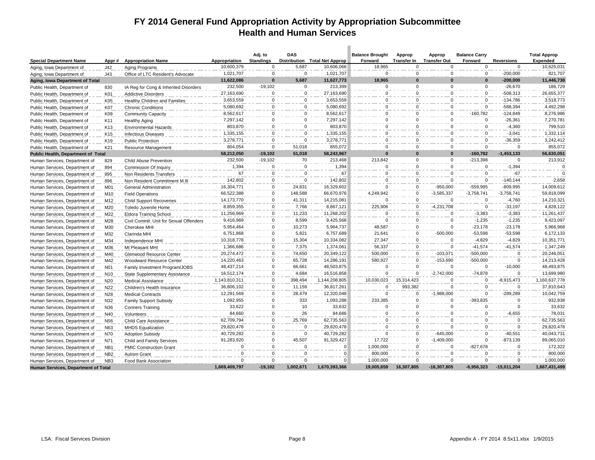### **FY 2014 General Fund Appropriation Activity by Appropriation Subcommittee Health and Human Services**

|                                     |                  |                                         |               | Adj. to          | <b>DAS</b>   |                               | <b>Balance Brought</b> | Approp             | Approp              | <b>Balance Carry</b> |                   | <b>Total Approp</b> |
|-------------------------------------|------------------|-----------------------------------------|---------------|------------------|--------------|-------------------------------|------------------------|--------------------|---------------------|----------------------|-------------------|---------------------|
| <b>Special Department Name</b>      | Appr#            | <b>Appropriation Name</b>               | Appropriation | <b>Standings</b> |              | Distribution Total Net Approp | Forward                | <b>Transfer In</b> | <b>Transfer Out</b> | Forward              | <b>Reversions</b> | <b>Expended</b>     |
| Aging, Iowa Department of           | J42              | Aging Programs                          | 10,600,379    | $\Omega$         | 5,687        | 10,606,066                    | 18,965                 | $\Omega$           | $\Omega$            | $\Omega$             | $\Omega$          | 10,625,031          |
| Aging, Iowa Department of           | J43              | Office of LTC Resident's Advocate       | 1,021,707     | $\mathbf 0$      | $\Omega$     | 1,021,707                     | $\Omega$               | $\mathbf 0$        | $\mathbf 0$         | $\mathbf 0$          | $-200,000$        | 821,707             |
| Aging, Iowa Department of Total     |                  |                                         | 11,622,086    | $\bf{0}$         | 5,687        | 11,627,773                    | 18,965                 | $\bf{0}$           | $\bf{0}$            | $\Omega$             | $-200,000$        | 11,446,738          |
| Public Health, Department of        | 830              | IA Reg for Cong & Inherited Disorders   | 232,500       | $-19,102$        | $\mathbf{0}$ | 213,399                       | $\mathbf{0}$           | $\mathbf 0$        | $\mathbf 0$         | $\mathbf 0$          | $-26,670$         | 186,729             |
| Public Health, Department of        | K01              | <b>Addictive Disorders</b>              | 27,163,690    | $\mathbf 0$      | 0            | 27,163,690                    | $\Omega$               | $\mathbf 0$        | $\Omega$            | $\Omega$             | $-508,313$        | 26,655,377          |
| Public Health, Department of        | K05              | Healthy Children and Families           | 3,653,559     | $\Omega$         | $\mathbf{0}$ | 3,653,559                     | $\Omega$               | $\mathbf 0$        | $\Omega$            | $\Omega$             | -134,786          | 3,518,773           |
| Public Health, Department of        | K07              | <b>Chronic Conditions</b>               | 5,080,692     | $\mathbf 0$      | 0            | 5,080,692                     | 0                      | $\Omega$           | $\Omega$            | $\mathbf 0$          | -588,394          | 4,492,298           |
| Public Health, Department of        | K09              | <b>Community Capacity</b>               | 8,562,617     | $\Omega$         | $\mathbf 0$  | 8,562,617                     | $\Omega$               | $\Omega$           | $\Omega$            | $-160,782$           | $-124,849$        | 8,276,986           |
| Public Health, Department of        | K11              | <b>Healthy Aging</b>                    | 7,297,142     | $\Omega$         | $\mathbf 0$  | 7,297,142                     | $\Omega$               | $\Omega$           | $\Omega$            | $\Omega$             | $-26,361$         | 7,270,781           |
| Public Health, Department of        | K <sub>13</sub>  | <b>Environmental Hazards</b>            | 803,870       | $\Omega$         | $\Omega$     | 803,870                       | $\Omega$               | $\Omega$           | $\mathbf 0$         | $\Omega$             | $-4,360$          | 799,510             |
| Public Health, Department of        | K15              | <b>Infectious Diseases</b>              | 1,335,155     | $\Omega$         | 0            | 1,335,155                     | $\Omega$               | $\Omega$           | $\Omega$            | $\mathbf 0$          | $-3,041$          | 1,332,114           |
| Public Health, Department of        | K <sub>19</sub>  | <b>Public Protection</b>                | 3,278,771     | $\Omega$         | $\Omega$     | 3,278,771                     | $\Omega$               | $\Omega$           | $\Omega$            | $\Omega$             | $-36,359$         | 3,242,412           |
| Public Health, Department of        | K21              | <b>Resource Management</b>              | 804,054       | $\mathbf 0$      | 51,018       | 855,072                       | $\Omega$               | $\Omega$           | $\Omega$            | $\Omega$             | $\Omega$          | 855,072             |
| Public Health, Department of Total  |                  |                                         | 58,212,050    | $-19,102$        | 51,018       | 58,243,967                    | $\bf{0}$               | $\Omega$           | $\bf{0}$            | $-160,782$           | $-1,453,133$      | 56,630,051          |
| Human Services, Department of       | 829              | <b>Child Abuse Prevention</b>           | 232,500       | $-19,102$        | 70           | 213,468                       | 213,842                | $\mathbf 0$        | $\mathbf 0$         | $-213,398$           | $\Omega$          | 213,912             |
| Human Services, Department of       | 894              | Commission Of Inquiry                   | 1,394         | 0                | 0            | 1,394                         | $\Omega$               | $\mathbf 0$        | $\mathbf 0$         | $\mathbf 0$          | $-1,394$          | $\mathbf 0$         |
| Human Services, Department of       | 895              | Non Residents Transfers                 | 67            | $\mathbf 0$      | $\mathbf 0$  | 67                            | $\Omega$               | $\mathbf 0$        | $\Omega$            | $\mathbf 0$          | $-67$             | $\Omega$            |
| Human Services, Department of       | 896              | Non Resident Commitment M.III           | 142,802       | $\Omega$         | $\mathbf{0}$ | 142,802                       | $\Omega$               | $\Omega$           | $\Omega$            | $\Omega$             | $-140, 144$       | 2.658               |
| Human Services, Department of       | M01              | General Administration                  | 16.304.771    | $\Omega$         | 24.831       | 16,329,602                    | 0                      | $\Omega$           | $-950,000$          | -559.995             | -809.995          | 14,009,612          |
| Human Services, Department of       | M10              | <b>Field Operations</b>                 | 66,522,388    | $\Omega$         | 148,588      | 66,670,976                    | 4,249,942              | $\mathbf 0$        | $-3,585,337$        | $-3,758,741$         | $-3,758,741$      | 59,818,099          |
| Human Services, Department of       | M12              | <b>Child Support Recoveries</b>         | 14,173,770    | $\mathbf 0$      | 41,311       | 14,215,081                    | $\Omega$               | $\mathbf 0$        | $\Omega$            | $\Omega$             | $-4,760$          | 14,210,321          |
| Human Services, Department of       | M20              | Toledo Juvenile Home                    | 8,859,355     | $\Omega$         | 7,766        | 8,867,121                     | 225,906                | $\Omega$           | $-4,231,708$        | $\mathbf 0$          | $-33,197$         | 4,828,122           |
| Human Services, Department of       | M22              | <b>Eldora Training School</b>           | 11,256,969    | $\mathbf 0$      | 11,233       | 11,268,202                    | $\Omega$               | 0                  | $\mathbf 0$         | $-3,383$             | $-3,383$          | 11,261,437          |
| Human Services, Department of       | M28              | Civil Commit. Unit for Sexual Offenders | 9,416,969     | $\mathbf 0$      | 8,599        | 9,425,568                     | $\Omega$               | $\Omega$           | $\Omega$            | $-1,235$             | $-1,235$          | 9,423,097           |
| Human Services, Department of       | M30              | Cherokee MHI                            | 5,954,464     | $\mathbf 0$      | 10.273       | 5,964,737                     | 48,587                 | $\mathbf 0$        | $\mathbf 0$         | $-23,178$            | $-23.178$         | 5,966,968           |
| Human Services, Department of       | M32              | Clarinda MHI                            | 6,751,868     | $\mathbf 0$      | 5,821        | 6,757,689                     | 21,641                 | 0                  | $-500,000$          | $-53,598$            | $-53,598$         | 6,172,133           |
| Human Services, Department of       | M34              | Independence MHI                        | 10,318,778    | $\Omega$         | 15,304       | 10,334,082                    | 27,347                 | $\mathbf 0$        | $\Omega$            | $-4,829$             | $-4,829$          | 10,351,771          |
| Human Services, Department of       | M36              | Mt Pleasant MHI                         | 1,366,686     | $\Omega$         | 7,375        | 1,374,061                     | 56,337                 | $\Omega$           | $\mathbf 0$         | $-41,574$            | $-41,574$         | 1,347,249           |
| Human Services, Department of       | M40              | Glenwood Resource Center                | 20,274,472    | $\Omega$         | 74,650       | 20,349,122                    | 500,000                | 0                  | $-103,071$          | $-500,000$           | $\Omega$          | 20,246,051          |
| Human Services, Department of       | M42              | Woodward Resource Center                | 14,220,463    | $\Omega$         | 65,728       | 14,286,191                    | 580,927                | $\mathbf 0$        | $-153,690$          | $-500,000$           | $\Omega$          | 14,213,428          |
| Human Services, Department of       | N <sub>0</sub> 1 | Family Investment Program/JOBS          | 48,437,214    | $\Omega$         | 66,661       | 48,503,875                    | $\Omega$               | $\Omega$           | $\Omega$            | $\Omega$             | $-10,000$         | 48,493,875          |
| Human Services, Department of       | N <sub>10</sub>  | State Supplementary Assistance          | 16,512,174    | $\mathbf 0$      | 4.684        | 16,516,858                    | O                      | $\Omega$           | $-2,742,000$        | $-74,878$            | $\Omega$          | 13,699,980          |
| Human Services, Department of       | N20              | Medical Assistance                      | 1,143,810,311 | $\mathbf 0$      | 398,494      | 1,144,208,805                 | 10,030,023             | 15,314,423         | $\Omega$            | $\Omega$             | $-8,915,473$      | 1,160,637,778       |
| Human Services, Department of       | N22              | Children's Health Insurance             | 36,806,102    | $\mathbf 0$      | 11,159       | 36,817,261                    | $\Omega$               | 993,382            | $\Omega$            | $\Omega$             | $\Omega$          | 37,810,643          |
| Human Services, Department of       | N28              | <b>Medical Contracts</b>                | 12,291,569    | $\Omega$         | 28.479       | 12,320,048                    | $\Omega$               | $\Omega$           | $-1.988.000$        | $\Omega$             | $-289.289$        | 10,042,759          |
| Human Services, Department of       | N32              | Family Support Subsidy                  | 1,092,955     | 0                | 333          | 1,093,288                     | 233,385                | $\mathbf 0$        | $\mathbf 0$         | $-393,835$           | $\Omega$          | 932,838             |
| Human Services, Department of       | N36              | <b>Conners Training</b>                 | 33,622        | $\mathbf 0$      | 10           | 33,632                        | $\Omega$               | $\mathbf 0$        | $\Omega$            | $\Omega$             | $\Omega$          | 33,632              |
| Human Services, Department of       | N40              | Volunteers                              | 84.660        | $\mathbf 0$      | 26           | 84.686                        | $\Omega$               | $\mathbf 0$        | $\Omega$            | $\Omega$             | $-6,655$          | 78,031              |
| Human Services, Department of       | N56              | Child Care Assistance                   | 62,709,794    | 0                | 25,769       | 62,735,563                    | $\mathbf{0}$           | $\mathbf 0$        | $\Omega$            | $\Omega$             | $\Omega$          | 62,735,563          |
| Human Services, Department of       | N63              | <b>MHDS Equalization</b>                | 29,820,478    | $\mathbf 0$      | $\Omega$     | 29,820,478                    | $\Omega$               | $\mathbf 0$        | $\Omega$            | $\Omega$             | $\Omega$          | 29,820,478          |
| Human Services, Department of       | N70              | <b>Adoption Subsidy</b>                 | 40,729,282    | $\Omega$         | $\Omega$     | 40,729,282                    | $\Omega$               | $\mathbf 0$        | $-645,000$          | $\Omega$             | $-40.551$         | 40,043,731          |
| Human Services, Department of       | N71              | Child and Family Services               | 91,283,920    | $\mathbf 0$      | 45,507       | 91,329,427                    | 17,722                 | $\mathbf 0$        | $-1,409,000$        | $\Omega$             | $-873,139$        | 89,065,010          |
| Human Services, Department of       | NB1              | <b>PMIC Construction Grant</b>          | $\Omega$      | $\Omega$         | $\Omega$     | $\Omega$                      | 1,000,000              | $\Omega$           | $\Omega$            | $-827,678$           | $\mathbf 0$       | 172,322             |
| Human Services, Department of       | NB <sub>2</sub>  | <b>Autism Grant</b>                     | $\Omega$      | $\Omega$         | $\Omega$     | $\Omega$                      | 800,000                | $\Omega$           | $\Omega$            | $\Omega$             | $\Omega$          | 800,000             |
| Human Services, Department of       | NB <sub>3</sub>  | Food Bank Association                   | $\Omega$      | $\mathbf 0$      | $\mathbf 0$  | $\Omega$                      | 1,000,000              | $\mathbf 0$        | $\mathbf 0$         | $\Omega$             | $\mathbf 0$       | 1,000,000           |
| Human Services, Department of Total |                  |                                         | 1,669,409,797 | $-19,102$        | 1,002,671    | 1,670,393,366                 | 19,005,659             | 16,307,805         | $-16,307,805$       | $-6,956,323$         | $-15,011,204$     | 1,667,431,499       |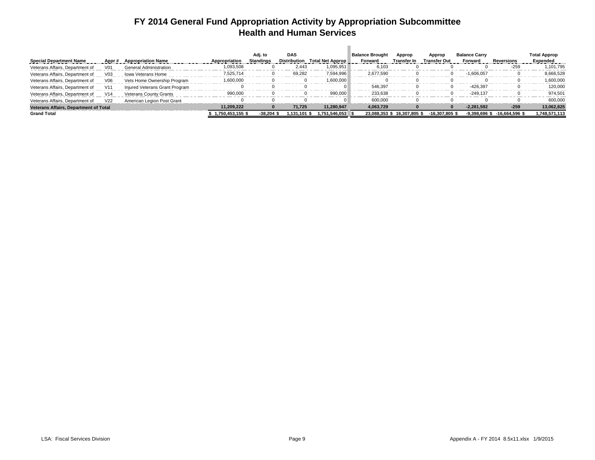### **FY 2014 General Fund Appropriation Activity by Appropriation Subcommittee Health and Human Services**

|                                              |                 |                                |                  | Adj. to          | <b>DAS</b>   |                               | <b>Balance Brought</b> | Approp                      | Approp              | <b>Balance Carry</b> |                  | <b>Total Approp</b> |
|----------------------------------------------|-----------------|--------------------------------|------------------|------------------|--------------|-------------------------------|------------------------|-----------------------------|---------------------|----------------------|------------------|---------------------|
| <b>Special Department Name</b>               | Appr#           | <b>Appropriation Name</b>      | Appropriation    | <b>Standings</b> |              | Distribution Total Net Approp | Forward                | Transfer In                 | <b>Transfer Out</b> | Forward              | Reversions       | Expended            |
| Veterans Affairs, Department of              | V01             | <b>General Administration</b>  | 1,093,508        |                  | 2.443        | 1.095.951                     | 6,103                  |                             |                     |                      | $-259$           | 1,101,795           |
| Veterans Affairs, Department of              | V <sub>03</sub> | <b>Iowa Veterans Home</b>      | 7,525,714        |                  | 69,282       | 7,594,996                     | 2,677,590              |                             |                     | $-1,606,057$         |                  | 8,666,528           |
| Veterans Affairs, Department of              | V06             | Vets Home Ownership Program    | 1,600,000        |                  |              | 1,600,000                     |                        |                             |                     |                      | 0                | 1,600,000           |
| Veterans Affairs, Department of              | V <sub>11</sub> | Injured Veterans Grant Program |                  |                  |              |                               | 546.397                |                             |                     | -426.397             | 0                | 120.000             |
| Veterans Affairs, Department of              | V14             | <b>Veterans County Grants</b>  | 990,000          |                  |              | 990.000                       | 233,638                |                             |                     | $-249.137$           |                  | 974.501             |
| Veterans Affairs, Department of              | V <sub>22</sub> | American Legion Post Grant     |                  |                  |              |                               | 600.000                |                             |                     |                      |                  | 600.000             |
| <b>Veterans Affairs, Department of Total</b> |                 |                                | 11.209.222       | $\bf{0}$         | 71.725       | 11.280.947                    | 4.063.729              |                             |                     | $-2.281.592$         | $-259$           | 13,062,825          |
| <b>Grand Total</b>                           |                 |                                | 1.750.453.155 \$ | $-38.204$ \$     | 1.131.101 \$ | 1.751.546.053                 |                        | 23.088.353 \$ 16.307.805 \$ | $-16.307.805$ \$    | $-9.398.696$ \$      | $-16.664.596$ \$ | 1.748.571.113       |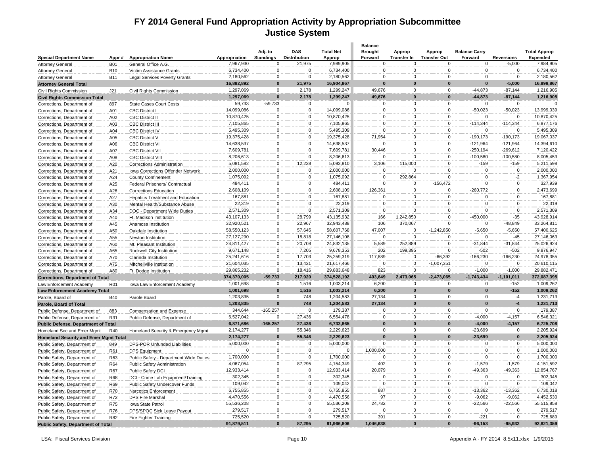### **FY 2014 General Fund Appropriation Activity by Appropriation Subcommittee Justice System**

 $\sim$ 

|                                              |                          |                                          |                            |                                 |                               |                         | <b>Balance</b>      |                                |                                    |                        |                               |                              |
|----------------------------------------------|--------------------------|------------------------------------------|----------------------------|---------------------------------|-------------------------------|-------------------------|---------------------|--------------------------------|------------------------------------|------------------------|-------------------------------|------------------------------|
|                                              |                          |                                          |                            | Adj. to                         | <b>DAS</b>                    | <b>Total Net</b>        | <b>Brought</b>      | Approp                         | Approp                             | <b>Balance Carry</b>   |                               | <b>Total Approp</b>          |
| <b>Special Department Name</b>               | Appr#                    | <b>Appropriation Name</b>                | Appropriation<br>7,967,930 | <b>Standings</b><br>$\mathbf 0$ | <b>Distribution</b><br>21,975 | Approp<br>7,989,905     | Forward<br>$\Omega$ | <b>Transfer In</b><br>$\Omega$ | <b>Transfer Out</b><br>$\mathbf 0$ | Forward<br>$\mathbf 0$ | <b>Reversions</b><br>$-5,000$ | <b>Expended</b><br>7,984,905 |
| <b>Attorney General</b>                      | <b>B01</b><br><b>B10</b> | General Office A.G.                      | 6,734,400                  | $\mathbf 0$                     | $\Omega$                      | 6,734,400               | $\mathbf 0$         | $\mathbf 0$                    | $\mathbf 0$                        | $\mathbf 0$            | $\mathbf 0$                   | 6,734,400                    |
| <b>Attorney General</b>                      |                          | Victim Assistance Grants                 | 2,180,562                  | $\mathbf 0$                     | $\mathbf 0$                   | 2,180,562               | $\Omega$            | $\mathbf 0$                    | $\mathbf 0$                        | $\mathbf 0$            | 0                             | 2,180,562                    |
| <b>Attorney General</b>                      | <b>B11</b>               | <b>Legal Services Poverty Grants</b>     | 16,882,892                 | $\bf{0}$                        | 21,975                        | 16,904,867              | $\Omega$            | $\bf{0}$                       | $\Omega$                           | $\Omega$               | $-5,000$                      | 16,899,867                   |
| <b>Attorney General Total</b>                |                          |                                          | 1,297,069                  | $\Omega$                        | 2,178                         | 1,299,247               | 49,676              | $\mathbf 0$                    | $\mathbf 0$                        | $-44.873$              | $-87,144$                     | 1,216,905                    |
| Civil Rights Commission                      | J21                      | Civil Rights Commission                  |                            | $\bf{0}$                        | 2.178                         | 1,299,247               | 49,676              | $\bf{0}$                       | $\bf{0}$                           | $-44.873$              | $-87,144$                     |                              |
| <b>Civil Rights Commission Total</b>         |                          |                                          | 1,297,069<br>59,733        | $-59,733$                       | $\mathbf 0$                   | $\Omega$                | $\Omega$            | $\mathbf 0$                    | $\mathbf 0$                        | $\mathbf 0$            | $\Omega$                      | 1,216,905                    |
| Corrections, Department of                   | 897                      | <b>State Cases Court Costs</b>           | 14,099,086                 | $\Omega$                        | $\mathbf 0$                   | 14,099,086              | $\Omega$            | $\mathbf 0$                    | $\mathbf 0$                        | $-50,023$              | $-50,023$                     | 13,999,039                   |
| Corrections, Department of                   | A01                      | <b>CBC District I</b>                    |                            | $\mathbf 0$                     | $\Omega$                      |                         | $\Omega$            | $\mathbf 0$                    | $\mathbf 0$                        | $\Omega$               | $\overline{0}$                |                              |
| Corrections, Department of                   | A02                      | <b>CBC District II</b>                   | 10,870,425<br>7,105,865    | $\Omega$                        | $\Omega$                      | 10,870,425<br>7,105,865 | C                   | $\Omega$                       | $\Omega$                           |                        |                               | 10,870,425                   |
| Corrections, Department of                   | A03                      | <b>CBC District III</b>                  |                            |                                 | $\Omega$                      |                         |                     |                                | $\Omega$                           | $-114,344$             | $-114,344$<br>$\Omega$        | 6,877,176                    |
| Corrections, Department of                   | A04                      | <b>CBC District IV</b>                   | 5,495,309                  | $\Omega$                        | $\Omega$                      | 5,495,309               | $\Omega$            | $\mathbf 0$                    | $\mathbf 0$                        |                        |                               | 5,495,309                    |
| Corrections, Department of                   | A05                      | <b>CBC District V</b>                    | 19,375,428                 | $\mathbf 0$<br>$\Omega$         | $\mathbf 0$                   | 19,375,428              | 71,954<br>$\Omega$  | $\mathbf 0$<br>$\mathbf 0$     | $\mathbf 0$                        | $-190, 173$            | $-190, 173$<br>$-121,964$     | 19,067,037                   |
| Corrections, Department of                   | A06                      | <b>CBC District VI</b>                   | 14,638,537                 |                                 | $\Omega$                      | 14,638,537              |                     |                                | $\mathbf 0$                        | $-121,964$             |                               | 14,394,610                   |
| Corrections, Department of                   | A07                      | <b>CBC District VII</b>                  | 7,609,781                  | $\mathbf 0$                     |                               | 7,609,781               | 30,446              | $\mathbf 0$                    |                                    | $-250,194$             | $-269,612$                    | 7,120,422                    |
| Corrections, Department of                   | A08                      | <b>CBC District VIII</b>                 | 8,206,613                  | $\mathbf 0$                     | $\Omega$                      | 8,206,613               | $\Omega$            | $\mathbf 0$                    | $\mathbf 0$                        | $-100,580$             | $-100,580$                    | 8,005,453                    |
| Corrections, Department of                   | A20                      | <b>Corrections Administration</b>        | 5,081,582                  | $\mathbf 0$                     | 12,228                        | 5,093,810               | 3,106               | 115,000                        | $\mathbf 0$<br>$\Omega$            | $-159$                 | $-159$                        | 5,211,598                    |
| Corrections, Department of                   | A21                      | Iowa Corrections Offender Network        | 2,000,000                  | $\mathbf 0$                     | $\mathbf 0$                   | 2,000,000               | $\Omega$            | $\Omega$                       |                                    | $\mathbf 0$            | $\mathbf 0$                   | 2,000,000                    |
| Corrections, Department of                   | A24                      | <b>County Confinement</b>                | 1,075,092                  | $\mathbf 0$                     | $\Omega$                      | 1,075,092               | $\Omega$            | 292,864                        | $\Omega$                           | $\Omega$               | $-2$                          | 1,367,954                    |
| Corrections, Department of                   | A25                      | Federal Prisoners/ Contractual           | 484,411                    | $\overline{0}$                  | $\Omega$                      | 484,411                 | 0                   | $\mathbf 0$                    | $-156,472$                         | $\overline{0}$         | $\overline{0}$                | 327,939                      |
| Corrections, Department of                   | A26                      | <b>Corrections Education</b>             | 2,608,109                  | $\Omega$                        | $\Omega$                      | 2,608,109               | 126,361             | $\mathbf 0$                    | $\mathbf 0$                        | $-260,772$             | 0                             | 2,473,699                    |
| Corrections, Department of                   | A27                      | <b>Hepatitis Treatment and Education</b> | 167,881                    | $\Omega$                        | $\Omega$                      | 167,881                 | $\Omega$            | $\mathbf 0$                    | $\Omega$                           | $\mathbf 0$            | $\Omega$                      | 167,881                      |
| Corrections, Department of                   | A30                      | Mental Health/Substance Abuse            | 22,319                     | $\mathbf 0$                     | $\Omega$                      | 22,319                  | $\mathbf 0$         | $\mathbf 0$                    | $\mathbf 0$                        | $\Omega$               | $\mathbf 0$                   | 22,319                       |
| Corrections, Department of                   | A34                      | DOC - Department Wide Duties             | 2,571,309                  | $\mathbf 0$                     | $\Omega$                      | 2,571,309               | $\Omega$            | $\Omega$                       | $\mathbf 0$                        | $\Omega$               | 0                             | 2,571,309                    |
| Corrections, Department of                   | A40                      | Ft. Madison Institution                  | 43,107,133                 | $\Omega$                        | 28,799                        | 43,135,932              | 166                 | 1,242,850                      | $\Omega$                           | $-450,000$             | $-35$                         | 43,928,914                   |
| Corrections, Department of                   | A45                      | Anamosa Institution                      | 32,920,521                 | $\mathbf 0$                     | 22.967                        | 32,943,488              | 106                 | 370.067                        | $\Omega$                           | $\Omega$               | $-48.849$                     | 33,264,811                   |
| Corrections, Department of                   | A50                      | Oakdale Institution                      | 58,550,123                 | $\Omega$                        | 57,645                        | 58,607,768              | 47,007              | $\Omega$                       | $-1,242,850$                       | $-5,650$               | $-5,650$                      | 57,400,625                   |
| Corrections, Department of                   | A55                      | Newton Institution                       | 27,127,290                 | $\mathbf 0$                     | 18,818                        | 27,146,108              | $\mathbf 0$         | $\Omega$                       | $\mathbf 0$                        | $\Omega$               | $-45$                         | 27,146,063                   |
| Corrections, Department of                   | A60                      | Mt. Pleasant Institution                 | 24,811,427                 | $\mathbf 0$                     | 20,708                        | 24,832,135              | 5,589               | 252,889                        | $\mathbf 0$                        | $-31,844$              | $-31,844$                     | 25,026,924                   |
| Corrections, Department of                   | A65                      | Rockwell City Institution                | 9,671,148                  | $\mathbf 0$                     | 7,205                         | 9,678,353               | 202                 | 199,395                        | $\mathbf 0$                        | $-502$                 | $-502$                        | 9,876,947                    |
| Corrections, Department of                   | A70                      | Clarinda Institution                     | 25,241,616                 | $\Omega$                        | 17,703                        | 25,259,319              | 117,889             | $\mathbf 0$                    | $-66,392$                          | $-166,230$             | $-166,230$                    | 24,978,355                   |
| Corrections, Department of                   | A75                      | Mitchellville Institution                | 21,604,035                 | $\Omega$                        | 13,431                        | 21,617,466              | $\Omega$            | $\mathbf 0$                    | $-1,007,351$                       | $\mathbf 0$            | $\mathbf 0$                   | 20,610,115                   |
| Corrections, Department of                   | A80                      | Ft. Dodge Institution                    | 29,865,232                 | $\Omega$                        | 18,416                        | 29,883,648              | 823                 | $\mathbf 0$                    | $\Omega$                           | $-1,000$               | $-1,000$                      | 29,882,471                   |
| <b>Corrections, Department of Total</b>      |                          |                                          | 374,370,005                | $-59,733$                       | 217,920                       | 374,528,192             | 403,649             | 2,473,065                      | $-2,473,065$                       | $-1,743,434$           | $-1,101,011$                  | 372,087,395                  |
| Law Enforcement Academy                      | R01                      | Iowa Law Enforcement Academy             | 1,001,698                  | $\mathbf 0$                     | 1,516                         | 1,003,214               | 6,200               | $\mathbf 0$                    | $\Omega$                           | $\mathbf 0$            | $-152$                        | 1,009,262                    |
| <b>Law Enforcement Academy Total</b>         |                          |                                          | 1,001,698                  | $\bf{0}$                        | 1,516                         | 1,003,214               | 6,200               | $\bf{0}$                       | $\bf{0}$                           | $\bf{0}$               | $-152$                        | 1,009,262                    |
| Parole, Board of                             | <b>B40</b>               | Parole Board                             | 1,203,835                  | $\Omega$                        | 748                           | 1,204,583               | 27,134              | $\mathbf 0$                    | $\mathbf 0$                        | $\mathbf 0$            | $-4$                          | 1,231,713                    |
| Parole, Board of Total                       |                          |                                          | 1,203,835                  | $\Omega$                        | 748                           | 1,204,583               | 27,134              | $\bf{0}$                       | $\Omega$                           | $\Omega$               | $-4$                          | 1,231,713                    |
| Public Defense, Department of                | 883                      | <b>Compensation and Expense</b>          | 344,644                    | $-165,257$                      | $\mathbf 0$                   | 179,387                 | $\Omega$            | $\Omega$                       | $\Omega$                           | $\Omega$               | $\mathbf 0$                   | 179,387                      |
| Public Defense, Department of                | R31                      | Public Defense, Department of            | 6,527,042                  | $\Omega$                        | 27,436                        | 6,554,478               | $\Omega$            | $\mathbf 0$                    | $\Omega$                           | $-4,000$               | $-4,157$                      | 6,546,321                    |
| <b>Public Defense, Department of Total</b>   |                          |                                          | 6,871,686                  | $-165.257$                      | 27,436                        | 6,733,865               | $\bf{0}$            | $\mathbf{0}$                   | $\bf{0}$                           | $-4,000$               | $-4,157$                      | 6,725,708                    |
| Homeland Sec and Emer Mgmt                   | R40                      | Homeland Security & Emergency Mgmt       | 2,174,277                  | $\mathbf 0$                     | 55,346                        | 2,229,623               | $\Omega$            | $\mathbf 0$                    | $\Omega$                           | $-23,699$              | $\mathbf 0$                   | 2,205,924                    |
| <b>Homeland Security and Emer Mgmt Total</b> |                          |                                          | 2,174,277                  | $\bf{0}$                        | 55,346                        | 2,229,623               | $\bf{0}$            | $\bf{0}$                       | $\bf{0}$                           | $-23,699$              | $\mathbf{0}$                  | 2,205,924                    |
| Public Safety, Department of                 | 849                      | DPS-POR Unfunded Liabilities             | 5,000,000                  | 0                               | $\mathbf 0$                   | 5,000,000               | $\mathbf 0$         | $\mathbf 0$                    | $\mathbf 0$                        | $\mathbf 0$            | 0                             | 5,000,000                    |
| Public Safety, Department of                 | R61                      | <b>DPS</b> Equipment                     | $\mathbf 0$                | $\mathbf 0$                     | $\Omega$                      |                         | 1,000,000           | $\mathbf 0$                    | $\mathbf 0$                        | $\mathbf 0$            | $\mathbf 0$                   | 1,000,000                    |
| Public Safety, Department of                 | R63                      | Public Safety - Department Wide Duties   | 1,700,000                  | $\mathbf 0$                     | $\Omega$                      | 1,700,000               | $\Omega$            | $\mathbf 0$                    | $\Omega$                           | $\Omega$               | $\Omega$                      | 1,700,000                    |
| Public Safety, Department of                 | R64                      | Public Safety Administration             | 4,067,054                  | $\Omega$                        | 87,295                        | 4,154,349               | 402                 | $\mathbf 0$                    | $\mathbf 0$                        | $-1,579$               | $-1,579$                      | 4,151,592                    |
| Public Safety, Department of                 | <b>R67</b>               | Public Safety DCI                        | 12,933,414                 | $\mathbf 0$                     | $\mathbf 0$                   | 12,933,414              | 20,079              | $\mathbf 0$                    | $\mathbf 0$                        | $-49,363$              | $-49,363$                     | 12,854,767                   |
| Public Safety, Department of                 | <b>R68</b>               | DCI - Crime Lab Equipment/Training       | 302,345                    | $\mathbf 0$                     | $\Omega$                      | 302,345                 | $\mathbf 0$         | $\mathbf 0$                    | $\mathbf 0$                        | $\Omega$               | $\mathbf 0$                   | 302,345                      |
| Public Safety, Department of                 | R69                      | Public Safety Undercover Funds           | 109,042                    | $\mathbf 0$                     | $\Omega$                      | 109,042                 | $\mathbf 0$         | $\mathbf 0$                    | $\mathbf 0$                        | $\Omega$               | $\mathbf 0$                   | 109,042                      |
| Public Safety, Department of                 | R70                      | Narcotics Enforcement                    | 6,755,855                  | $\Omega$                        | $\mathbf 0$                   | 6,755,855               | 887                 | $\mathbf 0$                    | $\Omega$                           | $-13,362$              | $-13,362$                     | 6,730,018                    |
| Public Safety, Department of                 | R72                      | <b>DPS Fire Marshal</b>                  | 4,470,556                  | $\Omega$                        | $\Omega$                      | 4,470,556               | 97                  | $\mathbf 0$                    | $\Omega$                           | $-9,062$               | $-9,062$                      | 4,452,530                    |
| Public Safety, Department of                 | R75                      | Iowa State Patrol                        | 55,536,208                 | $\mathbf 0$                     | $\Omega$                      | 55,536,208              | 24,782              | $\mathbf 0$                    | $\mathbf 0$                        | $-22,566$              | $-22,566$                     | 55,515,858                   |
| Public Safety, Department of                 | <b>R76</b>               | DPS/SPOC Sick Leave Payout               | 279,517                    | $\Omega$                        | $\Omega$                      | 279,517                 | $\Omega$            | $\mathbf 0$                    | $\mathbf 0$                        | $\Omega$               | 0                             | 279,517                      |
| Public Safety, Department of                 | <b>R82</b>               | Fire Fighter Training                    | 725,520                    | $\Omega$                        | $\Omega$                      | 725,520                 | 391                 | $\Omega$                       | $\Omega$                           | $-221$                 | $\Omega$                      | 725,689                      |
| <b>Public Safety, Department of Total</b>    |                          |                                          | 91,879,511                 | $\bf{0}$                        | 87.295                        | 91,966,806              | 1,046,638           | $\bf{0}$                       | $\bf{0}$                           | $-96.153$              | $-95.932$                     | 92,821,359                   |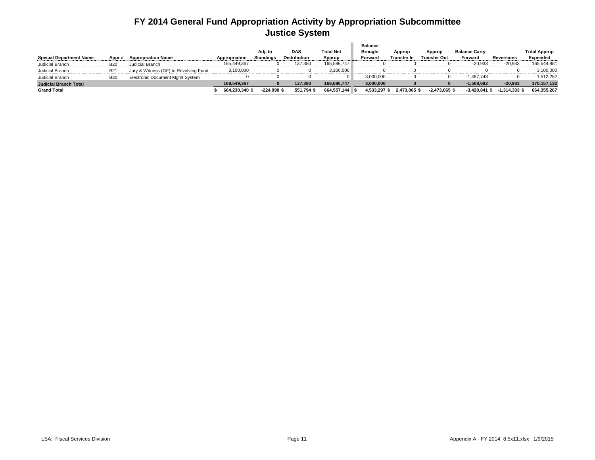### **FY 2014 General Fund Appropriation Activity by Appropriation Subcommittee Justice System**

|                                |            |                                        |                | Adj. to          | <b>DAS</b>          | <b>Total Net</b> | <b>Balance</b><br><b>Brought</b> | Approp       | Approp          | <b>Balance Carry</b> |                 | <b>Total Approp</b> |
|--------------------------------|------------|----------------------------------------|----------------|------------------|---------------------|------------------|----------------------------------|--------------|-----------------|----------------------|-----------------|---------------------|
| <b>Special Department Name</b> | Appr a     | <b>Appropriation Name</b>              | Appropriation  | <b>Standings</b> | <b>Distribution</b> | Approp           | Forward                          | Transfer In  | Transfer Out    | Forward              | Reversions      | Expended            |
| Judicial Branch                | <b>B20</b> | Judicial Branch                        | 165.449.367    |                  | 137.380             | 165.586.747      |                                  |              |                 | $-20,933$            | $-20,933$       | 165,544,881         |
| Judicial Branch                | <b>B21</b> | Jury & Witness (GF) to Revolving Fund  | 3,100,000      |                  |                     | 3.100.000        |                                  |              |                 |                      |                 | 3,100,000           |
| Judicial Branch                | <b>B30</b> | <b>Electronic Document Mgmt System</b> |                |                  |                     |                  | 3.000.000                        |              |                 | $-1.487.748$         |                 | 1,512,252           |
| <b>Judicial Branch Total</b>   |            |                                        | 168.549.367    |                  | 137.380             | 168.686.747      | 3,000,000                        |              |                 | $-1.508.682$         | $-20,933$       | 170.157.132         |
| <b>Grand Total</b>             |            |                                        | 664.230.340 \$ | $-224.990$ \$    | 551.794 \$          | 664.557.144      | 4,533,297                        | 2.473.065 \$ | $-2.473.065$ \$ | $-3.420.841$         | $-1.314.333$ \$ | 664,355,267         |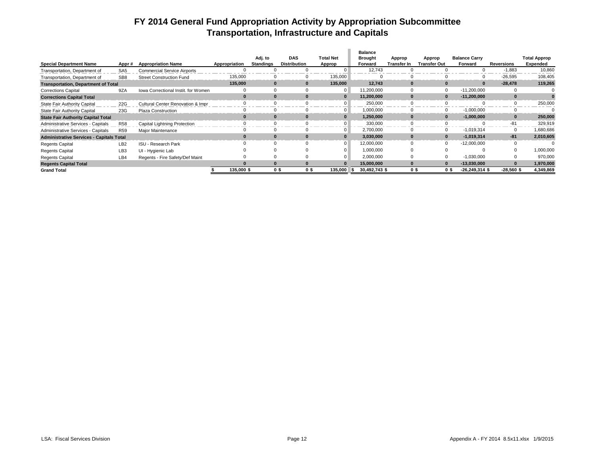### **FY 2014 General Fund Appropriation Activity by Appropriation Subcommittee Transportation, Infrastructure and Capitals**

|                                                 |                 |                                     |               |                  |                     |                  | <b>Balance</b> |                    |                     |                      |              |                     |
|-------------------------------------------------|-----------------|-------------------------------------|---------------|------------------|---------------------|------------------|----------------|--------------------|---------------------|----------------------|--------------|---------------------|
|                                                 |                 |                                     |               | Adj. to          | <b>DAS</b>          | <b>Total Net</b> | <b>Brought</b> | Approp             | Approp              | <b>Balance Carry</b> |              | <b>Total Approp</b> |
| <b>Special Department Name</b>                  | Appr#           | <b>Appropriation Name</b>           | Appropriation | <b>Standings</b> | <b>Distribution</b> | Approp           | Forward        | <b>Transfer In</b> | <b>Transfer Out</b> | Forward              | Reversions   | Expended            |
| Transportation, Department of                   | SA <sub>5</sub> | <b>Commercial Service Airports</b>  |               |                  |                     |                  | 12,743         |                    |                     |                      | $-1,883$     | 10,860              |
| Transportation, Department of                   | SB <sub>8</sub> | <b>Street Construction Fund</b>     | 135,000       |                  |                     | 135,000          |                |                    |                     |                      | $-26,595$    | 108,405             |
| <b>Transportation, Department of Total</b>      |                 |                                     | 135.000       | $\Omega$         | $\Omega$            | 135,000          | 12.743         |                    |                     |                      | $-28.478$    | 119,265             |
| <b>Corrections Capital</b>                      | 9ZA             | Iowa Correctional Instit, for Women |               |                  |                     | $\overline{0}$   | 11,200,000     |                    |                     | $-11,200,000$        |              |                     |
| <b>Corrections Capital Total</b>                |                 |                                     |               |                  |                     | $\mathbf{0}$     | 11,200,000     |                    |                     | $-11,200,000$        |              |                     |
| <b>State Fair Authority Capital</b>             | 22G             | Cultural Center Renovation & Impr   |               |                  |                     | $\overline{0}$   | 250,000        |                    |                     |                      |              | 250,000             |
| <b>State Fair Authority Capital</b>             | 23G             | Plaza Construction                  |               |                  |                     | $\overline{0}$   | 1,000,000      |                    |                     | $-1,000,000$         |              |                     |
| <b>State Fair Authority Capital Total</b>       |                 |                                     |               |                  |                     | $\mathbf{0}$     | 1,250,000      |                    |                     | $-1,000,000$         |              | 250,000             |
| Administrative Services - Capitals              | <b>R58</b>      | Capital Lightning Protection        |               |                  |                     | $\overline{0}$   | 330,000        |                    |                     |                      | -81          | 329.919             |
| Administrative Services - Capitals              | <b>R59</b>      | Major Maintenance                   |               |                  |                     | $\overline{0}$   | 2,700,000      |                    |                     | $-1,019,314$         | $\Omega$     | 1,680,686           |
| <b>Administrative Services - Capitals Total</b> |                 |                                     |               |                  |                     | $\Omega$         | 3,030,000      |                    |                     | $-1,019,314$         | $-81$        | 2,010,605           |
| <b>Regents Capital</b>                          | LB <sub>2</sub> | ISU - Research Park                 |               |                  |                     | $\overline{0}$   | 12.000.000     |                    |                     | $-12,000,000$        |              |                     |
| <b>Regents Capital</b>                          | LB <sub>3</sub> | UI - Hygienic Lab                   |               |                  |                     |                  | 1,000,000      |                    |                     |                      |              | 000,000,1           |
| <b>Regents Capital</b>                          | LB4             | Regents - Fire Safety/Def Maint     |               |                  |                     | $\overline{0}$   | 2,000,000      |                    |                     | $-1,030,000$         |              | 970,000             |
| <b>Regents Capital Total</b>                    |                 |                                     |               | $\Omega$         |                     | $\Omega$         | 15,000,000     |                    |                     | $-13,030,000$        |              | 1,970,000           |
| <b>Grand Total</b>                              |                 |                                     | 135.000 \$    | 0 S              | 0\$                 | 135.000          | 30,492,743 \$  | O S                | 0\$                 | $-26,249,314$ \$     | $-28.560$ \$ | 4,349,869           |